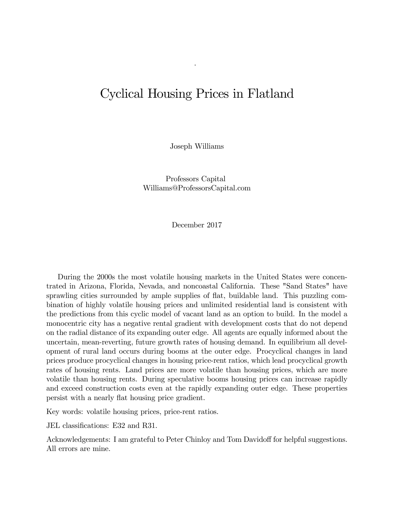# Cyclical Housing Prices in Flatland

.

Joseph Williams

Professors Capital Williams@ProfessorsCapital.com

December 2017

During the 2000s the most volatile housing markets in the United States were concentrated in Arizona, Florida, Nevada, and noncoastal California. These "Sand States" have sprawling cities surrounded by ample supplies of flat, buildable land. This puzzling combination of highly volatile housing prices and unlimited residential land is consistent with the predictions from this cyclic model of vacant land as an option to build. In the model a monocentric city has a negative rental gradient with development costs that do not depend on the radial distance of its expanding outer edge. All agents are equally informed about the uncertain, mean-reverting, future growth rates of housing demand. In equilibrium all development of rural land occurs during booms at the outer edge. Procyclical changes in land prices produce procyclical changes in housing price-rent ratios, which lead procyclical growth rates of housing rents. Land prices are more volatile than housing prices, which are more volatile than housing rents. During speculative booms housing prices can increase rapidly and exceed construction costs even at the rapidly expanding outer edge. These properties persist with a nearly flat housing price gradient.

Key words: volatile housing prices, price-rent ratios.

JEL classifications: E32 and R31.

Acknowledgements: I am grateful to Peter Chinloy and Tom Davidoff for helpful suggestions. All errors are mine.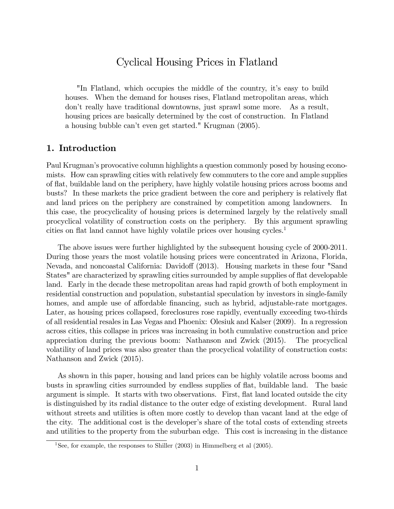# Cyclical Housing Prices in Flatland

"In Flatland, which occupies the middle of the country, itís easy to build houses. When the demand for houses rises, Flatland metropolitan areas, which donít really have traditional downtowns, just sprawl some more. As a result, housing prices are basically determined by the cost of construction. In Flatland a housing bubble can't even get started." Krugman (2005).

# 1. Introduction

Paul Krugman's provocative column highlights a question commonly posed by housing economists. How can sprawling cities with relatively few commuters to the core and ample supplies of áat, buildable land on the periphery, have highly volatile housing prices across booms and busts? In these markets the price gradient between the core and periphery is relatively flat and land prices on the periphery are constrained by competition among landowners. In this case, the procyclicality of housing prices is determined largely by the relatively small procyclical volatility of construction costs on the periphery. By this argument sprawling cities on flat land cannot have highly volatile prices over housing cycles.<sup>1</sup>

The above issues were further highlighted by the subsequent housing cycle of 2000-2011. During those years the most volatile housing prices were concentrated in Arizona, Florida, Nevada, and noncoastal California: Davidoff (2013). Housing markets in these four "Sand States" are characterized by sprawling cities surrounded by ample supplies of flat developable land. Early in the decade these metropolitan areas had rapid growth of both employment in residential construction and population, substantial speculation by investors in single-family homes, and ample use of affordable financing, such as hybrid, adjustable-rate mortgages. Later, as housing prices collapsed, foreclosures rose rapidly, eventually exceeding two-thirds of all residential resales in Las Vegas and Phoenix: Olesiuk and Kalser (2009). In a regression across cities, this collapse in prices was increasing in both cumulative construction and price appreciation during the previous boom: Nathanson and Zwick (2015). The procyclical volatility of land prices was also greater than the procyclical volatility of construction costs: Nathanson and Zwick (2015).

As shown in this paper, housing and land prices can be highly volatile across booms and busts in sprawling cities surrounded by endless supplies of áat, buildable land. The basic argument is simple. It starts with two observations. First, áat land located outside the city is distinguished by its radial distance to the outer edge of existing development. Rural land without streets and utilities is often more costly to develop than vacant land at the edge of the city. The additional cost is the developer's share of the total costs of extending streets and utilities to the property from the suburban edge. This cost is increasing in the distance

<sup>&</sup>lt;sup>1</sup>See, for example, the responses to Shiller  $(2003)$  in Himmelberg et al  $(2005)$ .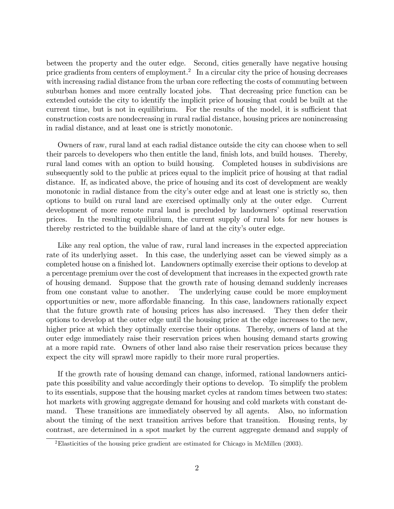between the property and the outer edge. Second, cities generally have negative housing price gradients from centers of employment.<sup>2</sup> In a circular city the price of housing decreases with increasing radial distance from the urban core reflecting the costs of commuting between suburban homes and more centrally located jobs. That decreasing price function can be extended outside the city to identify the implicit price of housing that could be built at the current time, but is not in equilibrium. For the results of the model, it is sufficient that construction costs are nondecreasing in rural radial distance, housing prices are nonincreasing in radial distance, and at least one is strictly monotonic.

Owners of raw, rural land at each radial distance outside the city can choose when to sell their parcels to developers who then entitle the land, finish lots, and build houses. Thereby, rural land comes with an option to build housing. Completed houses in subdivisions are subsequently sold to the public at prices equal to the implicit price of housing at that radial distance. If, as indicated above, the price of housing and its cost of development are weakly monotonic in radial distance from the city's outer edge and at least one is strictly so, then options to build on rural land are exercised optimally only at the outer edge. Current development of more remote rural land is precluded by landowners' optimal reservation prices. In the resulting equilibrium, the current supply of rural lots for new houses is thereby restricted to the buildable share of land at the cityís outer edge.

Like any real option, the value of raw, rural land increases in the expected appreciation rate of its underlying asset. In this case, the underlying asset can be viewed simply as a completed house on a finished lot. Landowners optimally exercise their options to develop at a percentage premium over the cost of development that increases in the expected growth rate of housing demand. Suppose that the growth rate of housing demand suddenly increases from one constant value to another. The underlying cause could be more employment opportunities or new, more affordable financing. In this case, landowners rationally expect that the future growth rate of housing prices has also increased. They then defer their options to develop at the outer edge until the housing price at the edge increases to the new, higher price at which they optimally exercise their options. Thereby, owners of land at the outer edge immediately raise their reservation prices when housing demand starts growing at a more rapid rate. Owners of other land also raise their reservation prices because they expect the city will sprawl more rapidly to their more rural properties.

If the growth rate of housing demand can change, informed, rational landowners anticipate this possibility and value accordingly their options to develop. To simplify the problem to its essentials, suppose that the housing market cycles at random times between two states: hot markets with growing aggregate demand for housing and cold markets with constant demand. These transitions are immediately observed by all agents. Also, no information about the timing of the next transition arrives before that transition. Housing rents, by contrast, are determined in a spot market by the current aggregate demand and supply of

<sup>2</sup>Elasticities of the housing price gradient are estimated for Chicago in McMillen (2003).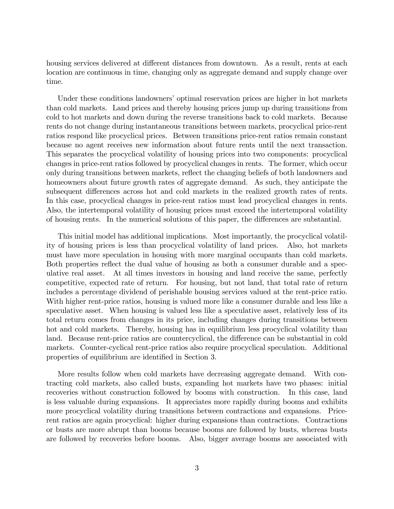housing services delivered at different distances from downtown. As a result, rents at each location are continuous in time, changing only as aggregate demand and supply change over time.

Under these conditions landowners' optimal reservation prices are higher in hot markets than cold markets. Land prices and thereby housing prices jump up during transitions from cold to hot markets and down during the reverse transitions back to cold markets. Because rents do not change during instantaneous transitions between markets, procyclical price-rent ratios respond like procyclical prices. Between transitions price-rent ratios remain constant because no agent receives new information about future rents until the next transaction. This separates the procyclical volatility of housing prices into two components: procyclical changes in price-rent ratios followed by procyclical changes in rents. The former, which occur only during transitions between markets, reflect the changing beliefs of both landowners and homeowners about future growth rates of aggregate demand. As such, they anticipate the subsequent differences across hot and cold markets in the realized growth rates of rents. In this case, procyclical changes in price-rent ratios must lead procyclical changes in rents. Also, the intertemporal volatility of housing prices must exceed the intertemporal volatility of housing rents. In the numerical solutions of this paper, the differences are substantial.

This initial model has additional implications. Most importantly, the procyclical volatility of housing prices is less than procyclical volatility of land prices. Also, hot markets must have more speculation in housing with more marginal occupants than cold markets. Both properties reflect the dual value of housing as both a consumer durable and a speculative real asset. At all times investors in housing and land receive the same, perfectly competitive, expected rate of return. For housing, but not land, that total rate of return includes a percentage dividend of perishable housing services valued at the rent-price ratio. With higher rent-price ratios, housing is valued more like a consumer durable and less like a speculative asset. When housing is valued less like a speculative asset, relatively less of its total return comes from changes in its price, including changes during transitions between hot and cold markets. Thereby, housing has in equilibrium less procyclical volatility than land. Because rent-price ratios are countercyclical, the difference can be substantial in cold markets. Counter-cyclical rent-price ratios also require procyclical speculation. Additional properties of equilibrium are identified in Section 3.

More results follow when cold markets have decreasing aggregate demand. With contracting cold markets, also called busts, expanding hot markets have two phases: initial recoveries without construction followed by booms with construction. In this case, land is less valuable during expansions. It appreciates more rapidly during booms and exhibits more procyclical volatility during transitions between contractions and expansions. Pricerent ratios are again procyclical: higher during expansions than contractions. Contractions or busts are more abrupt than booms because booms are followed by busts, whereas busts are followed by recoveries before booms. Also, bigger average booms are associated with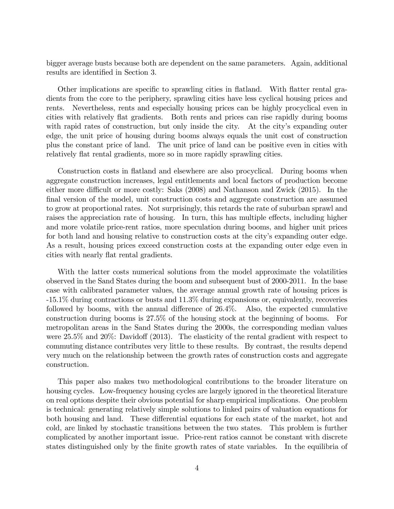bigger average busts because both are dependent on the same parameters. Again, additional results are identified in Section 3.

Other implications are specific to sprawling cities in flatland. With flatter rental gradients from the core to the periphery, sprawling cities have less cyclical housing prices and rents. Nevertheless, rents and especially housing prices can be highly procyclical even in cities with relatively flat gradients. Both rents and prices can rise rapidly during booms with rapid rates of construction, but only inside the city. At the city's expanding outer edge, the unit price of housing during booms always equals the unit cost of construction plus the constant price of land. The unit price of land can be positive even in cities with relatively flat rental gradients, more so in more rapidly sprawling cities.

Construction costs in flatland and elsewhere are also procyclical. During booms when aggregate construction increases, legal entitlements and local factors of production become either more difficult or more costly: Saks  $(2008)$  and Nathanson and Zwick  $(2015)$ . In the final version of the model, unit construction costs and aggregate construction are assumed to grow at proportional rates. Not surprisingly, this retards the rate of suburban sprawl and raises the appreciation rate of housing. In turn, this has multiple effects, including higher and more volatile price-rent ratios, more speculation during booms, and higher unit prices for both land and housing relative to construction costs at the city's expanding outer edge. As a result, housing prices exceed construction costs at the expanding outer edge even in cities with nearly flat rental gradients.

With the latter costs numerical solutions from the model approximate the volatilities observed in the Sand States during the boom and subsequent bust of 2000-2011. In the base case with calibrated parameter values, the average annual growth rate of housing prices is -15.1% during contractions or busts and 11.3% during expansions or, equivalently, recoveries followed by booms, with the annual difference of  $26.4\%$ . Also, the expected cumulative construction during booms is 27.5% of the housing stock at the beginning of booms. For metropolitan areas in the Sand States during the 2000s, the corresponding median values were  $25.5\%$  and  $20\%$ : Davidoff (2013). The elasticity of the rental gradient with respect to commuting distance contributes very little to these results. By contrast, the results depend very much on the relationship between the growth rates of construction costs and aggregate construction.

This paper also makes two methodological contributions to the broader literature on housing cycles. Low-frequency housing cycles are largely ignored in the theoretical literature on real options despite their obvious potential for sharp empirical implications. One problem is technical: generating relatively simple solutions to linked pairs of valuation equations for both housing and land. These differential equations for each state of the market, hot and cold, are linked by stochastic transitions between the two states. This problem is further complicated by another important issue. Price-rent ratios cannot be constant with discrete states distinguished only by the finite growth rates of state variables. In the equilibria of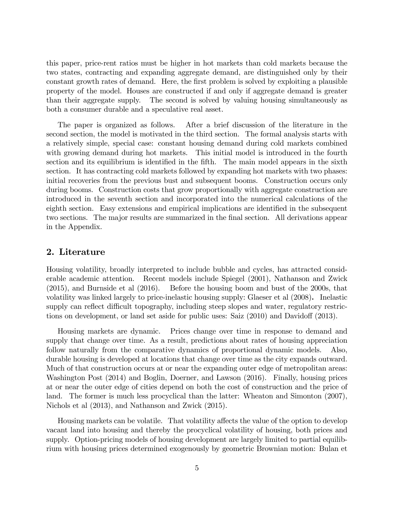this paper, price-rent ratios must be higher in hot markets than cold markets because the two states, contracting and expanding aggregate demand, are distinguished only by their constant growth rates of demand. Here, the first problem is solved by exploiting a plausible property of the model. Houses are constructed if and only if aggregate demand is greater than their aggregate supply. The second is solved by valuing housing simultaneously as both a consumer durable and a speculative real asset.

The paper is organized as follows. After a brief discussion of the literature in the second section, the model is motivated in the third section. The formal analysis starts with a relatively simple, special case: constant housing demand during cold markets combined with growing demand during hot markets. This initial model is introduced in the fourth section and its equilibrium is identified in the fifth. The main model appears in the sixth section. It has contracting cold markets followed by expanding hot markets with two phases: initial recoveries from the previous bust and subsequent booms. Construction occurs only during booms. Construction costs that grow proportionally with aggregate construction are introduced in the seventh section and incorporated into the numerical calculations of the eighth section. Easy extensions and empirical implications are identified in the subsequent two sections. The major results are summarized in the final section. All derivations appear in the Appendix.

# 2. Literature

Housing volatility, broadly interpreted to include bubble and cycles, has attracted considerable academic attention. Recent models include Spiegel (2001), Nathanson and Zwick (2015), and Burnside et al (2016). Before the housing boom and bust of the 2000s, that volatility was linked largely to price-inelastic housing supply: Glaeser et al (2008). Inelastic supply can reflect difficult topography, including steep slopes and water, regulatory restrictions on development, or land set aside for public uses: Saiz  $(2010)$  and Davidoff  $(2013)$ .

Housing markets are dynamic. Prices change over time in response to demand and supply that change over time. As a result, predictions about rates of housing appreciation follow naturally from the comparative dynamics of proportional dynamic models. Also, durable housing is developed at locations that change over time as the city expands outward. Much of that construction occurs at or near the expanding outer edge of metropolitan areas: Washington Post (2014) and Boglin, Doerner, and Lawson (2016). Finally, housing prices at or near the outer edge of cities depend on both the cost of construction and the price of land. The former is much less procyclical than the latter: Wheaton and Simonton (2007), Nichols et al (2013), and Nathanson and Zwick (2015).

Housing markets can be volatile. That volatility affects the value of the option to develop vacant land into housing and thereby the procyclical volatility of housing, both prices and supply. Option-pricing models of housing development are largely limited to partial equilibrium with housing prices determined exogenously by geometric Brownian motion: Bulan et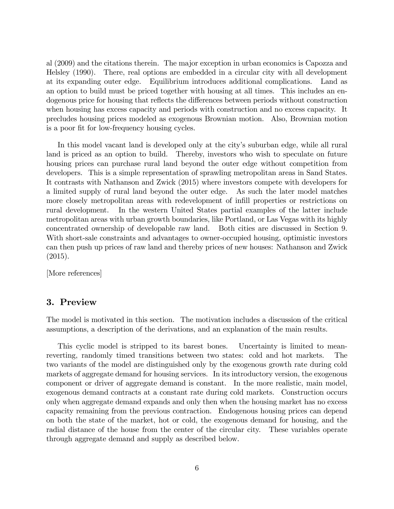al (2009) and the citations therein. The major exception in urban economics is Capozza and Helsley (1990). There, real options are embedded in a circular city with all development at its expanding outer edge. Equilibrium introduces additional complications. Land as an option to build must be priced together with housing at all times. This includes an endogenous price for housing that reflects the differences between periods without construction when housing has excess capacity and periods with construction and no excess capacity. It precludes housing prices modeled as exogenous Brownian motion. Also, Brownian motion is a poor fit for low-frequency housing cycles.

In this model vacant land is developed only at the city's suburban edge, while all rural land is priced as an option to build. Thereby, investors who wish to speculate on future housing prices can purchase rural land beyond the outer edge without competition from developers. This is a simple representation of sprawling metropolitan areas in Sand States. It contrasts with Nathanson and Zwick (2015) where investors compete with developers for a limited supply of rural land beyond the outer edge. As such the later model matches more closely metropolitan areas with redevelopment of infill properties or restrictions on rural development. In the western United States partial examples of the latter include metropolitan areas with urban growth boundaries, like Portland, or Las Vegas with its highly concentrated ownership of developable raw land. Both cities are discussed in Section 9. With short-sale constraints and advantages to owner-occupied housing, optimistic investors can then push up prices of raw land and thereby prices of new houses: Nathanson and Zwick (2015).

[More references]

#### 3. Preview

The model is motivated in this section. The motivation includes a discussion of the critical assumptions, a description of the derivations, and an explanation of the main results.

This cyclic model is stripped to its barest bones. Uncertainty is limited to meanreverting, randomly timed transitions between two states: cold and hot markets. The two variants of the model are distinguished only by the exogenous growth rate during cold markets of aggregate demand for housing services. In its introductory version, the exogenous component or driver of aggregate demand is constant. In the more realistic, main model, exogenous demand contracts at a constant rate during cold markets. Construction occurs only when aggregate demand expands and only then when the housing market has no excess capacity remaining from the previous contraction. Endogenous housing prices can depend on both the state of the market, hot or cold, the exogenous demand for housing, and the radial distance of the house from the center of the circular city. These variables operate through aggregate demand and supply as described below.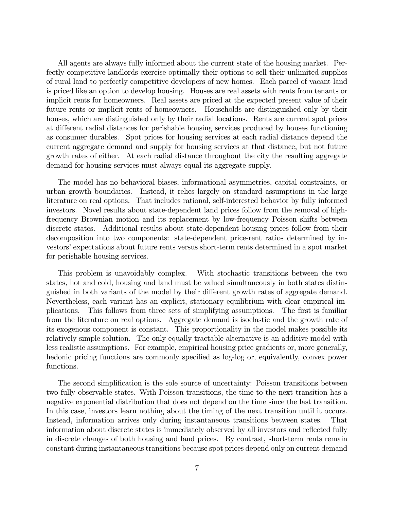All agents are always fully informed about the current state of the housing market. Perfectly competitive landlords exercise optimally their options to sell their unlimited supplies of rural land to perfectly competitive developers of new homes. Each parcel of vacant land is priced like an option to develop housing. Houses are real assets with rents from tenants or implicit rents for homeowners. Real assets are priced at the expected present value of their future rents or implicit rents of homeowners. Households are distinguished only by their houses, which are distinguished only by their radial locations. Rents are current spot prices at different radial distances for perishable housing services produced by houses functioning as consumer durables. Spot prices for housing services at each radial distance depend the current aggregate demand and supply for housing services at that distance, but not future growth rates of either. At each radial distance throughout the city the resulting aggregate demand for housing services must always equal its aggregate supply.

The model has no behavioral biases, informational asymmetries, capital constraints, or urban growth boundaries. Instead, it relies largely on standard assumptions in the large literature on real options. That includes rational, self-interested behavior by fully informed investors. Novel results about state-dependent land prices follow from the removal of highfrequency Brownian motion and its replacement by low-frequency Poisson shifts between discrete states. Additional results about state-dependent housing prices follow from their decomposition into two components: state-dependent price-rent ratios determined by investors' expectations about future rents versus short-term rents determined in a spot market for perishable housing services.

This problem is unavoidably complex. With stochastic transitions between the two states, hot and cold, housing and land must be valued simultaneously in both states distinguished in both variants of the model by their different growth rates of aggregate demand. Nevertheless, each variant has an explicit, stationary equilibrium with clear empirical implications. This follows from three sets of simplifying assumptions. The first is familiar from the literature on real options. Aggregate demand is isoelastic and the growth rate of its exogenous component is constant. This proportionality in the model makes possible its relatively simple solution. The only equally tractable alternative is an additive model with less realistic assumptions. For example, empirical housing price gradients or, more generally, hedonic pricing functions are commonly specified as log-log or, equivalently, convex power functions.

The second simplification is the sole source of uncertainty: Poisson transitions between two fully observable states. With Poisson transitions, the time to the next transition has a negative exponential distribution that does not depend on the time since the last transition. In this case, investors learn nothing about the timing of the next transition until it occurs. Instead, information arrives only during instantaneous transitions between states. That information about discrete states is immediately observed by all investors and reflected fully in discrete changes of both housing and land prices. By contrast, short-term rents remain constant during instantaneous transitions because spot prices depend only on current demand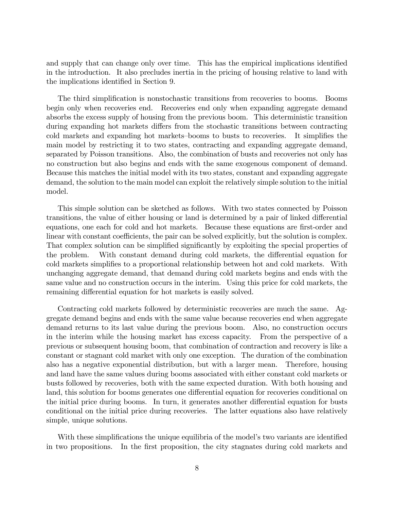and supply that can change only over time. This has the empirical implications identified in the introduction. It also precludes inertia in the pricing of housing relative to land with the implications identified in Section 9.

The third simplification is nonstochastic transitions from recoveries to booms. Booms begin only when recoveries end. Recoveries end only when expanding aggregate demand absorbs the excess supply of housing from the previous boom. This deterministic transition during expanding hot markets differs from the stochastic transitions between contracting cold markets and expanding hot markets-booms to busts to recoveries. It simplifies the main model by restricting it to two states, contracting and expanding aggregate demand, separated by Poisson transitions. Also, the combination of busts and recoveries not only has no construction but also begins and ends with the same exogenous component of demand. Because this matches the initial model with its two states, constant and expanding aggregate demand, the solution to the main model can exploit the relatively simple solution to the initial model.

This simple solution can be sketched as follows. With two states connected by Poisson transitions, the value of either housing or land is determined by a pair of linked differential equations, one each for cold and hot markets. Because these equations are first-order and linear with constant coefficients, the pair can be solved explicitly, but the solution is complex. That complex solution can be simplified significantly by exploiting the special properties of the problem. With constant demand during cold markets, the differential equation for cold markets simplifies to a proportional relationship between hot and cold markets. With unchanging aggregate demand, that demand during cold markets begins and ends with the same value and no construction occurs in the interim. Using this price for cold markets, the remaining differential equation for hot markets is easily solved.

Contracting cold markets followed by deterministic recoveries are much the same. Aggregate demand begins and ends with the same value because recoveries end when aggregate demand returns to its last value during the previous boom. Also, no construction occurs in the interim while the housing market has excess capacity. From the perspective of a previous or subsequent housing boom, that combination of contraction and recovery is like a constant or stagnant cold market with only one exception. The duration of the combination also has a negative exponential distribution, but with a larger mean. Therefore, housing and land have the same values during booms associated with either constant cold markets or busts followed by recoveries, both with the same expected duration. With both housing and land, this solution for booms generates one differential equation for recoveries conditional on the initial price during booms. In turn, it generates another differential equation for busts conditional on the initial price during recoveries. The latter equations also have relatively simple, unique solutions.

With these simplifications the unique equilibria of the model's two variants are identified in two propositions. In the first proposition, the city stagnates during cold markets and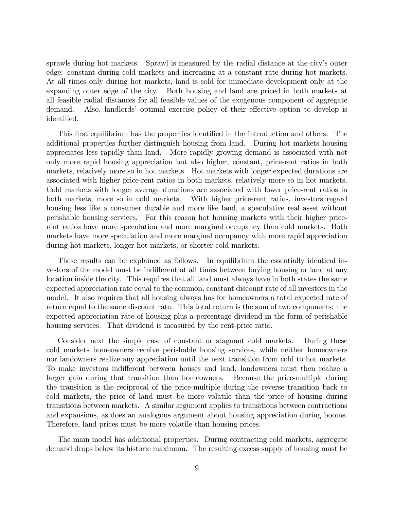sprawls during hot markets. Sprawl is measured by the radial distance at the city's outer edge: constant during cold markets and increasing at a constant rate during hot markets. At all times only during hot markets, land is sold for immediate development only at the expanding outer edge of the city. Both housing and land are priced in both markets at all feasible radial distances for all feasible values of the exogenous component of aggregate demand. Also, landlords' optimal exercise policy of their effective option to develop is identified.

This first equilibrium has the properties identified in the introduction and others. The additional properties further distinguish housing from land. During hot markets housing appreciates less rapidly than land. More rapidly growing demand is associated with not only more rapid housing appreciation but also higher, constant, price-rent ratios in both markets, relatively more so in hot markets. Hot markets with longer expected durations are associated with higher price-rent ratios in both markets, relatively more so in hot markets. Cold markets with longer average durations are associated with lower price-rent ratios in both markets, more so in cold markets. With higher price-rent ratios, investors regard housing less like a consumer durable and more like land, a speculative real asset without perishable housing services. For this reason hot housing markets with their higher pricerent ratios have more speculation and more marginal occupancy than cold markets. Both markets have more speculation and more marginal occupancy with more rapid appreciation during hot markets, longer hot markets, or shorter cold markets.

These results can be explained as follows. In equilibrium the essentially identical investors of the model must be indifferent at all times between buying housing or land at any location inside the city. This requires that all land must always have in both states the same expected appreciation rate equal to the common, constant discount rate of all investors in the model. It also requires that all housing always has for homeowners a total expected rate of return equal to the same discount rate. This total return is the sum of two components: the expected appreciation rate of housing plus a percentage dividend in the form of perishable housing services. That dividend is measured by the rent-price ratio.

Consider next the simple case of constant or stagnant cold markets. During these cold markets homeowners receive perishable housing services, while neither homeowners nor landowners realize any appreciation until the next transition from cold to hot markets. To make investors indifferent between houses and land, landowners must then realize a larger gain during that transition than homeowners. Because the price-multiple during the transition is the reciprocal of the price-multiple during the reverse transition back to cold markets, the price of land must be more volatile than the price of housing during transitions between markets. A similar argument applies to transitions between contractions and expansions, as does an analogous argument about housing appreciation during booms. Therefore, land prices must be more volatile than housing prices.

The main model has additional properties. During contracting cold markets, aggregate demand drops below its historic maximum. The resulting excess supply of housing must be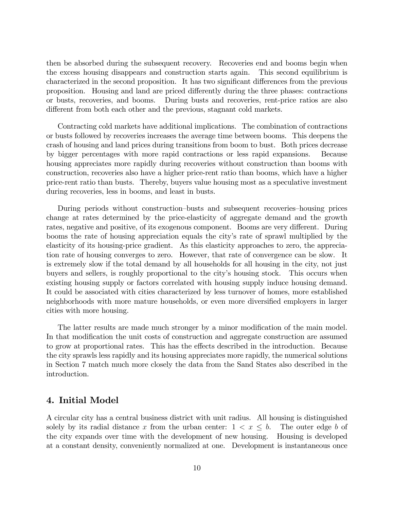then be absorbed during the subsequent recovery. Recoveries end and booms begin when the excess housing disappears and construction starts again. This second equilibrium is characterized in the second proposition. It has two significant differences from the previous proposition. Housing and land are priced differently during the three phases: contractions or busts, recoveries, and booms. During busts and recoveries, rent-price ratios are also different from both each other and the previous, stagnant cold markets.

Contracting cold markets have additional implications. The combination of contractions or busts followed by recoveries increases the average time between booms. This deepens the crash of housing and land prices during transitions from boom to bust. Both prices decrease by bigger percentages with more rapid contractions or less rapid expansions. Because housing appreciates more rapidly during recoveries without construction than booms with construction, recoveries also have a higher price-rent ratio than booms, which have a higher price-rent ratio than busts. Thereby, buyers value housing most as a speculative investment during recoveries, less in booms, and least in busts.

During periods without construction–busts and subsequent recoveries–housing prices change at rates determined by the price-elasticity of aggregate demand and the growth rates, negative and positive, of its exogenous component. Booms are very different. During booms the rate of housing appreciation equals the city's rate of sprawl multiplied by the elasticity of its housing-price gradient. As this elasticity approaches to zero, the appreciation rate of housing converges to zero. However, that rate of convergence can be slow. It is extremely slow if the total demand by all households for all housing in the city, not just buyers and sellers, is roughly proportional to the cityís housing stock. This occurs when existing housing supply or factors correlated with housing supply induce housing demand. It could be associated with cities characterized by less turnover of homes, more established neighborhoods with more mature households, or even more diversified employers in larger cities with more housing.

The latter results are made much stronger by a minor modification of the main model. In that modification the unit costs of construction and aggregate construction are assumed to grow at proportional rates. This has the effects described in the introduction. Because the city sprawls less rapidly and its housing appreciates more rapidly, the numerical solutions in Section 7 match much more closely the data from the Sand States also described in the introduction.

# 4. Initial Model

A circular city has a central business district with unit radius. All housing is distinguished solely by its radial distance x from the urban center:  $1 < x \leq b$ . The outer edge b of the city expands over time with the development of new housing. Housing is developed the city expands over time with the development of new housing. at a constant density, conveniently normalized at one. Development is instantaneous once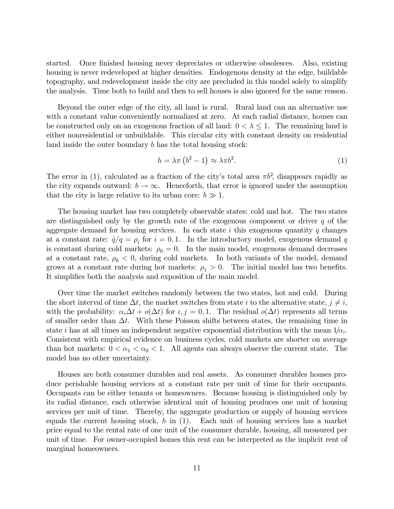started. Once finished housing never depreciates or otherwise obsolesces. Also, existing housing is never redeveloped at higher densities. Endogenous density at the edge, buildable topography, and redevelopment inside the city are precluded in this model solely to simplify the analysis. Time both to build and then to sell houses is also ignored for the same reason.

Beyond the outer edge of the city, all land is rural. Rural land can an alternative use with a constant value conveniently normalized at zero. At each radial distance, houses can be constructed only on an exogenous fraction of all land:  $0 < \lambda \leq 1$ . The remaining land is either nonresidential or unbuildable. This circular city with constant density on residential land inside the outer boundary b has the total housing stock:

$$
h = \lambda \pi \left( b^2 - 1 \right) \approx \lambda \pi b^2. \tag{1}
$$

The error in (1), calculated as a fraction of the city's total area  $\pi b^2$ , disappears rapidly as the city expands outward:  $b \rightarrow \infty$ . Henceforth, that error is ignored under the assumption that the city is large relative to its urban core:  $b \gg 1$ .

The housing market has two completely observable states: cold and hot. The two states are distinguished only by the growth rate of the exogenous component or driver  $q$  of the aggregate demand for housing services. In each state i this exogenous quantity q changes at a constant rate:  $\dot{q}/q = \rho_i$  for  $i = 0, 1$ . In the introductory model, exogenous demand q is constant during cold markets:  $\rho_0 = 0$ . In the main model, exogenous demand decreases at a constant rate,  $\rho_0 < 0$ , during cold markets. In both variants of the model, demand grows at a constant rate during hot markets:  $\rho_1 > 0$ . The initial model has two benefits. It simplifies both the analysis and exposition of the main model.

Over time the market switches randomly between the two states, hot and cold. During the short interval of time  $\Delta t$ , the market switches from state i to the alternative state,  $j \neq i$ , with the probability:  $\alpha_i \Delta t + o(\Delta t)$  for  $i, j = 0, 1$ . The residual  $o(\Delta t)$  represents all terms of smaller order than  $\Delta t$ . With these Poisson shifts between states, the remaining time in state *i* has at all times an independent negative exponential distribution with the mean  $1/\alpha_i$ . Consistent with empirical evidence on business cycles, cold markets are shorter on average than hot markets:  $0 < \alpha_1 < \alpha_0 < 1$ . All agents can always observe the current state. The model has no other uncertainty.

Houses are both consumer durables and real assets. As consumer durables houses produce perishable housing services at a constant rate per unit of time for their occupants. Occupants can be either tenants or homeowners. Because housing is distinguished only by its radial distance, each otherwise identical unit of housing produces one unit of housing services per unit of time. Thereby, the aggregate production or supply of housing services equals the current housing stock,  $h$  in  $(1)$ . Each unit of housing services has a market price equal to the rental rate of one unit of the consumer durable, housing, all measured per unit of time. For owner-occupied homes this rent can be interpreted as the implicit rent of marginal homeowners.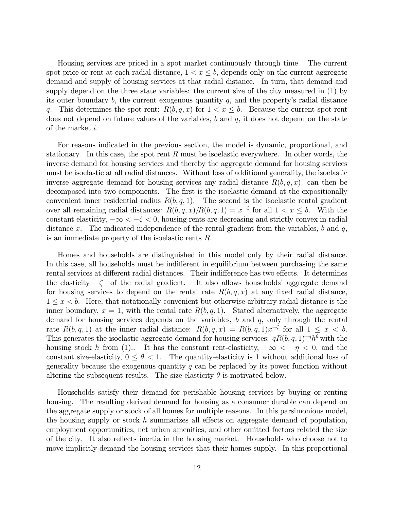Housing services are priced in a spot market continuously through time. The current spot price or rent at each radial distance,  $1 < x \leq b$ , depends only on the current aggregate demand and supply of housing services at that radial distance. In turn, that demand and supply depend on the three state variables: the current size of the city measured in (1) by its outer boundary  $b$ , the current exogenous quantity  $q$ , and the property's radial distance q. This determines the spot rent:  $R(b, q, x)$  for  $1 < x \leq b$ . Because the current spot rent does not depend on future values of the variables,  $b$  and  $q$ , it does not depend on the state of the market i.

For reasons indicated in the previous section, the model is dynamic, proportional, and stationary. In this case, the spot rent R must be isoelastic everywhere. In other words, the inverse demand for housing services and thereby the aggregate demand for housing services must be isoelastic at all radial distances. Without loss of additional generality, the isoelastic inverse aggregate demand for housing services any radial distance  $R(b, q, x)$  can then be decomposed into two components. The first is the isoelastic demand at the expositionally convenient inner residential radius  $R(b, q, 1)$ . The second is the isoelastic rental gradient over all remaining radial distances:  $R(b, q, x)/R(b, q, 1) = x^{-\zeta}$  for all  $1 < x \leq b$ . With the constant elasticity,  $-\infty < -\zeta < 0$ , housing rents are decreasing and strictly convex in radial distance x. The indicated independence of the rental gradient from the variables, b and  $q$ , is an immediate property of the isoelastic rents R.

Homes and households are distinguished in this model only by their radial distance. In this case, all households must be indifferent in equilibrium between purchasing the same rental services at different radial distances. Their indifference has two effects. It determines the elasticity  $-\zeta$  of the radial gradient. It also allows households' aggregate demand for housing services to depend on the rental rate  $R(b, q, x)$  at any fixed radial distance,  $1 \leq x \leq b$ . Here, that notationally convenient but otherwise arbitrary radial distance is the inner boundary,  $x = 1$ , with the rental rate  $R(b, q, 1)$ . Stated alternatively, the aggregate demand for housing services depends on the variables,  $b$  and  $q$ , only through the rental rate  $R(b, q, 1)$  at the inner radial distance:  $R(b, q, x) = R(b, q, 1)x^{-\zeta}$  for all  $1 \leq x < b$ . This generates the isoelastic aggregate demand for housing services:  $qR(b, q, 1)^{-\eta}h^{\theta}$  with the housing stock h from (1). It has the constant rent-elasticity,  $-\infty < -\eta < 0$ , and the constant size-elasticity,  $0 \le \theta < 1$ . The quantity-elasticity is 1 without additional loss of generality because the exogenous quantity  $q$  can be replaced by its power function without altering the subsequent results. The size-elasticity  $\theta$  is motivated below.

Households satisfy their demand for perishable housing services by buying or renting housing. The resulting derived demand for housing as a consumer durable can depend on the aggregate supply or stock of all homes for multiple reasons. In this parsimonious model, the housing supply or stock h summarizes all effects on aggregate demand of population, employment opportunities, net urban amenities, and other omitted factors related the size of the city. It also reflects inertia in the housing market. Households who choose not to move implicitly demand the housing services that their homes supply. In this proportional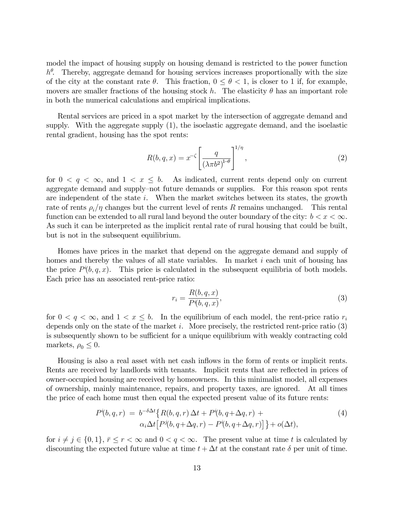model the impact of housing supply on housing demand is restricted to the power function  $h^{\theta}$ . Thereby, aggregate demand for housing services increases proportionally with the size of the city at the constant rate  $\theta$ . This fraction,  $0 \le \theta \le 1$ , is closer to 1 if, for example, movers are smaller fractions of the housing stock h. The elasticity  $\theta$  has an important role in both the numerical calculations and empirical implications.

Rental services are priced in a spot market by the intersection of aggregate demand and supply. With the aggregate supply (1), the isoelastic aggregate demand, and the isoelastic rental gradient, housing has the spot rents:

$$
R(b,q,x) = x^{-\zeta} \left[ \frac{q}{\left(\lambda \pi b^2\right)^{1-\theta}} \right]^{1/\eta},\tag{2}
$$

for  $0 < q < \infty$ , and  $1 < x \leq b$ . As indicated, current rents depend only on current aggregate demand and supply-not future demands or supplies. For this reason spot rents are independent of the state  $i$ . When the market switches between its states, the growth rate of rents  $\rho_i/\eta$  changes but the current level of rents R remains unchanged. This rental function can be extended to all rural land beyond the outer boundary of the city:  $b < x < \infty$ . As such it can be interpreted as the implicit rental rate of rural housing that could be built, but is not in the subsequent equilibrium.

Homes have prices in the market that depend on the aggregate demand and supply of homes and thereby the values of all state variables. In market i each unit of housing has the price  $P^{i}(b, q, x)$ . This price is calculated in the subsequent equilibria of both models. Each price has an associated rent-price ratio:

$$
r_i = \frac{R(b, q, x)}{P^i(b, q, x)},\tag{3}
$$

for  $0 < q < \infty$ , and  $1 < x \leq b$ . In the equilibrium of each model, the rent-price ratio  $r_i$ depends only on the state of the market i. More precisely, the restricted rent-price ratio  $(3)$ is subsequently shown to be sufficient for a unique equilibrium with weakly contracting cold markets,  $\rho_0 \leq 0$ .

Housing is also a real asset with net cash inflows in the form of rents or implicit rents. Rents are received by landlords with tenants. Implicit rents that are reflected in prices of owner-occupied housing are received by homeowners. In this minimalist model, all expenses of ownership, mainly maintenance, repairs, and property taxes, are ignored. At all times the price of each home must then equal the expected present value of its future rents:

$$
P^{i}(b,q,r) = b^{-\delta \Delta t} \{ R(b,q,r) \Delta t + P^{i}(b,q+\Delta q,r) + \alpha_i \Delta t [ P^{j}(b,q+\Delta q,r) - P^{i}(b,q+\Delta q,r) ] \} + o(\Delta t),
$$
\n
$$
(4)
$$

for  $i \neq j \in \{0,1\}, \bar{r} \leq r < \infty$  and  $0 < q < \infty$ . The present value at time t is calculated by discounting the expected future value at time  $t + \Delta t$  at the constant rate  $\delta$  per unit of time.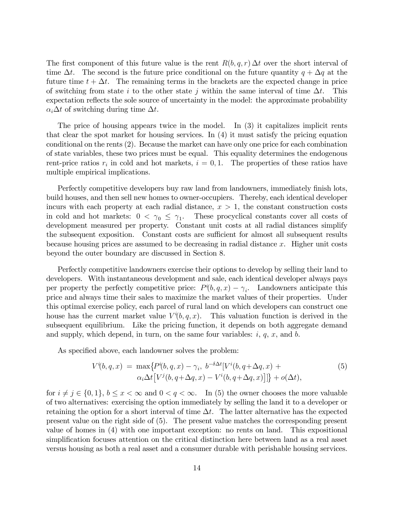The first component of this future value is the rent  $R(b, q, r) \Delta t$  over the short interval of time  $\Delta t$ . The second is the future price conditional on the future quantity  $q + \Delta q$  at the future time  $t + \Delta t$ . The remaining terms in the brackets are the expected change in price of switching from state i to the other state j within the same interval of time  $\Delta t$ . This expectation reflects the sole source of uncertainty in the model: the approximate probability  $\alpha_i \Delta t$  of switching during time  $\Delta t$ .

The price of housing appears twice in the model. In (3) it capitalizes implicit rents that clear the spot market for housing services. In (4) it must satisfy the pricing equation conditional on the rents (2). Because the market can have only one price for each combination of state variables, these two prices must be equal. This equality determines the endogenous rent-price ratios  $r_i$  in cold and hot markets,  $i = 0, 1$ . The properties of these ratios have multiple empirical implications.

Perfectly competitive developers buy raw land from landowners, immediately finish lots, build houses, and then sell new homes to owner-occupiers. Thereby, each identical developer incurs with each property at each radial distance,  $x > 1$ , the constant construction costs in cold and hot markets:  $0 < \gamma_0 \leq \gamma_1$ . These procyclical constants cover all costs of development measured per property. Constant unit costs at all radial distances simplify the subsequent exposition. Constant costs are sufficient for almost all subsequent results because housing prices are assumed to be decreasing in radial distance  $x$ . Higher unit costs beyond the outer boundary are discussed in Section 8.

Perfectly competitive landowners exercise their options to develop by selling their land to developers. With instantaneous development and sale, each identical developer always pays per property the perfectly competitive price:  $P^{i}(b, q, x) - \gamma_{i}$ . Landowners anticipate this price and always time their sales to maximize the market values of their properties. Under this optimal exercise policy, each parcel of rural land on which developers can construct one house has the current market value  $V^{i}(b, q, x)$ . This valuation function is derived in the subsequent equilibrium. Like the pricing function, it depends on both aggregate demand and supply, which depend, in turn, on the same four variables:  $i, q, x$ , and  $b$ .

As specified above, each landowner solves the problem:

$$
V^{i}(b,q,x) = \max \{ P^{i}(b,q,x) - \gamma_i, b^{-\delta \Delta t} [V^{i}(b,q + \Delta q, x) + \alpha_i \Delta t [V^{j}(b,q + \Delta q, x) - V^{i}(b,q + \Delta q, x)]] \} + o(\Delta t),
$$
\n
$$
(5)
$$

for  $i \neq j \in \{0, 1\}, b \leq x < \infty$  and  $0 < q < \infty$ . In (5) the owner chooses the more valuable of two alternatives: exercising the option immediately by selling the land it to a developer or retaining the option for a short interval of time  $\Delta t$ . The latter alternative has the expected present value on the right side of (5). The present value matches the corresponding present value of homes in (4) with one important exception: no rents on land. This expositional simplification focuses attention on the critical distinction here between land as a real asset versus housing as both a real asset and a consumer durable with perishable housing services.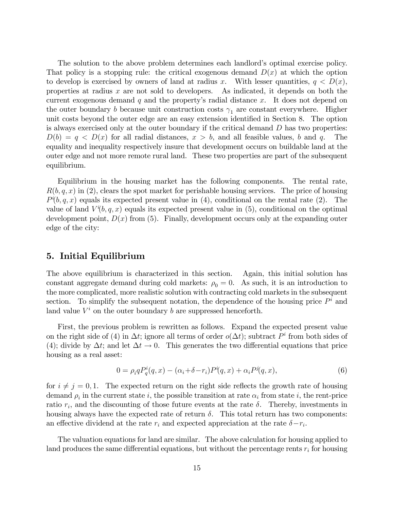The solution to the above problem determines each landlord's optimal exercise policy. That policy is a stopping rule: the critical exogenous demand  $D(x)$  at which the option to develop is exercised by owners of land at radius x. With lesser quantities,  $q < D(x)$ , properties at radius x are not sold to developers. As indicated, it depends on both the current exogenous demand  $q$  and the property's radial distance  $x$ . It does not depend on the outer boundary *b* because unit construction costs  $\gamma_1$  are constant everywhere. Higher unit costs beyond the outer edge are an easy extension identified in Section 8. The option is always exercised only at the outer boundary if the critical demand  $D$  has two properties:  $D(b) = q \lt D(x)$  for all radial distances,  $x > b$ , and all feasible values, b and q. The equality and inequality respectively insure that development occurs on buildable land at the outer edge and not more remote rural land. These two properties are part of the subsequent equilibrium.

Equilibrium in the housing market has the following components. The rental rate,  $R(b, q, x)$  in (2), clears the spot market for perishable housing services. The price of housing  $P^{i}(b, q, x)$  equals its expected present value in (4), conditional on the rental rate (2). The value of land  $V^{i}(b, q, x)$  equals its expected present value in (5), conditional on the optimal development point,  $D(x)$  from (5). Finally, development occurs only at the expanding outer edge of the city:

#### 5. Initial Equilibrium

The above equilibrium is characterized in this section. Again, this initial solution has constant aggregate demand during cold markets:  $\rho_0 = 0$ . As such, it is an introduction to the more complicated, more realistic solution with contracting cold markets in the subsequent section. To simplify the subsequent notation, the dependence of the housing price  $P^i$  and land value  $V^i$  on the outer boundary b are suppressed henceforth.

First, the previous problem is rewritten as follows. Expand the expected present value on the right side of (4) in  $\Delta t$ ; ignore all terms of order  $o(\Delta t)$ ; subtract  $P<sup>i</sup>$  from both sides of (4); divide by  $\Delta t$ ; and let  $\Delta t \to 0$ . This generates the two differential equations that price housing as a real asset:

$$
0 = \rho_i q P_q^i(q, x) - (\alpha_i + \delta - r_i) P^i(q, x) + \alpha_i P^j(q, x), \tag{6}
$$

for  $i \neq j = 0, 1$ . The expected return on the right side reflects the growth rate of housing demand  $\rho_i$  in the current state i, the possible transition at rate  $\alpha_i$  from state i, the rent-price ratio  $r_i$ , and the discounting of those future events at the rate  $\delta$ . Thereby, investments in housing always have the expected rate of return  $\delta$ . This total return has two components: an effective dividend at the rate  $r_i$  and expected appreciation at the rate  $\delta - r_i$ .

The valuation equations for land are similar. The above calculation for housing applied to land produces the same differential equations, but without the percentage rents  $r_i$  for housing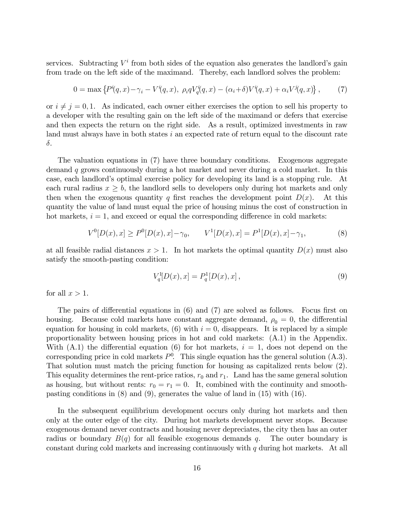services. Subtracting  $V^i$  from both sides of the equation also generates the landlord's gain from trade on the left side of the maximand. Thereby, each landlord solves the problem:

$$
0 = \max \left\{ P^i(q, x) - \gamma_i - V^i(q, x), \ \rho_i q V^i_q(q, x) - (\alpha_i + \delta) V^i(q, x) + \alpha_i V^j(q, x) \right\},\tag{7}
$$

or  $i \neq j = 0, 1$ . As indicated, each owner either exercises the option to sell his property to a developer with the resulting gain on the left side of the maximand or defers that exercise and then expects the return on the right side. As a result, optimized investments in raw land must always have in both states  $i$  an expected rate of return equal to the discount rate  $\delta$ .

The valuation equations in (7) have three boundary conditions. Exogenous aggregate demand q grows continuously during a hot market and never during a cold market. In this case, each landlord's optimal exercise policy for developing its land is a stopping rule. At each rural radius  $x \geq b$ , the landlord sells to developers only during hot markets and only then when the exogenous quantity q first reaches the development point  $D(x)$ . At this then when the exogenous quantity q first reaches the development point  $D(x)$ . quantity the value of land must equal the price of housing minus the cost of construction in hot markets,  $i = 1$ , and exceed or equal the corresponding difference in cold markets:

$$
V^{0}[D(x),x] \ge P^{0}[D(x),x] - \gamma_0, \qquad V^{1}[D(x),x] = P^{1}[D(x),x] - \gamma_1,\tag{8}
$$

at all feasible radial distances  $x > 1$ . In hot markets the optimal quantity  $D(x)$  must also satisfy the smooth-pasting condition:

$$
V_q^1[D(x),x] = P_q^1[D(x),x],\tag{9}
$$

for all  $x > 1$ .

The pairs of differential equations in  $(6)$  and  $(7)$  are solved as follows. Focus first on housing. Because cold markets have constant aggregate demand,  $\rho_0 = 0$ , the differential equation for housing in cold markets,  $(6)$  with  $i = 0$ , disappears. It is replaced by a simple proportionality between housing prices in hot and cold markets: (A.1) in the Appendix. With  $(A.1)$  the differential equation (6) for hot markets,  $i = 1$ , does not depend on the corresponding price in cold markets  $P^0$ . This single equation has the general solution  $(A.3)$ . That solution must match the pricing function for housing as capitalized rents below (2). This equality determines the rent-price ratios,  $r_0$  and  $r_1$ . Land has the same general solution as housing, but without rents:  $r_0 = r_1 = 0$ . It, combined with the continuity and smoothpasting conditions in (8) and (9), generates the value of land in (15) with (16).

In the subsequent equilibrium development occurs only during hot markets and then only at the outer edge of the city. During hot markets development never stops. Because exogenous demand never contracts and housing never depreciates, the city then has an outer radius or boundary  $B(q)$  for all feasible exogenous demands q. The outer boundary is constant during cold markets and increasing continuously with  $q$  during hot markets. At all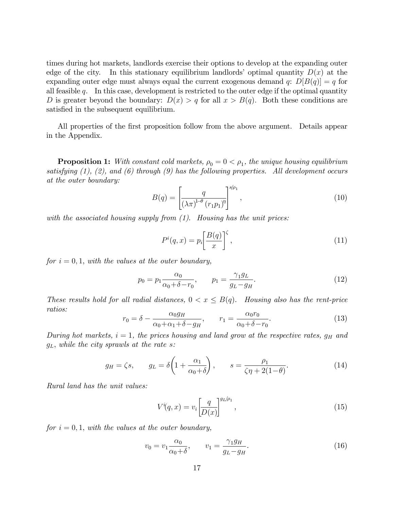times during hot markets, landlords exercise their options to develop at the expanding outer edge of the city. In this stationary equilibrium landlords' optimal quantity  $D(x)$  at the expanding outer edge must always equal the current exogenous demand q:  $D[B(q)] = q$  for all feasible  $q$ . In this case, development is restricted to the outer edge if the optimal quantity D is greater beyond the boundary:  $D(x) > q$  for all  $x > B(q)$ . Both these conditions are satisfied in the subsequent equilibrium.

All properties of the first proposition follow from the above argument. Details appear in the Appendix.

**Proposition 1:** With constant cold markets,  $\rho_0 = 0 < \rho_1$ , the unique housing equilibrium satisfying  $(1)$ ,  $(2)$ , and  $(6)$  through  $(9)$  has the following properties. All development occurs at the outer boundary:

$$
B(q) = \left[\frac{q}{\left(\lambda \pi\right)^{1-\theta} \left(r_1 p_1\right)^{\eta}}\right]^{s/\rho_1},\tag{10}
$$

with the associated housing supply from  $(1)$ . Housing has the unit prices:

$$
P^{i}(q,x) = p_{i} \left[ \frac{B(q)}{x} \right]^{\zeta}, \qquad (11)
$$

for  $i = 0, 1$ , with the values at the outer boundary,

$$
p_0 = p_1 \frac{\alpha_0}{\alpha_0 + \delta - r_0}, \qquad p_1 = \frac{\gamma_1 g_L}{g_L - g_H}.
$$
 (12)

These results hold for all radial distances,  $0 < x \leq B(q)$ . Housing also has the rent-price ratios:

$$
r_0 = \delta - \frac{\alpha_0 g_H}{\alpha_0 + \alpha_1 + \delta - g_H}, \qquad r_1 = \frac{\alpha_0 r_0}{\alpha_0 + \delta - r_0}.
$$
\n
$$
(13)
$$

During hot markets,  $i = 1$ , the prices housing and land grow at the respective rates,  $g_H$  and  $g_L$ , while the city sprawls at the rate s:

$$
g_H = \zeta s, \qquad g_L = \delta \left( 1 + \frac{\alpha_1}{\alpha_0 + \delta} \right), \qquad s = \frac{\rho_1}{\zeta \eta + 2(1 - \theta)}.
$$
 (14)

Rural land has the unit values:

$$
V^{i}(q,x) = v_i \left[\frac{q}{D(x)}\right]^{g_L/\rho_1},\tag{15}
$$

for  $i = 0, 1$ , with the values at the outer boundary,

$$
v_0 = v_1 \frac{\alpha_0}{\alpha_0 + \delta}, \qquad v_1 = \frac{\gamma_1 g_H}{g_L - g_H}.
$$
\n(16)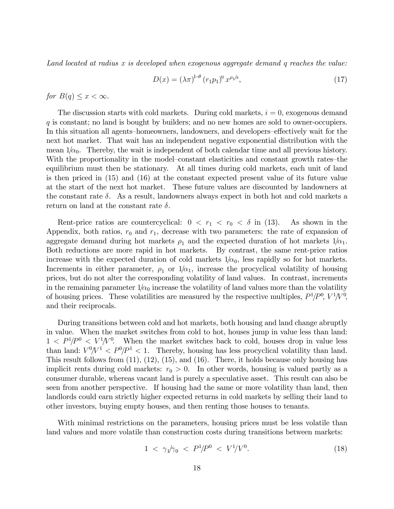Land located at radius  $x$  is developed when exogenous aggregate demand  $q$  reaches the value:

$$
D(x) = \left(\lambda \pi\right)^{1-\theta} \left(r_1 p_1\right)^{\eta} x^{\rho_1/s},\tag{17}
$$

for  $B(q) \leq x < \infty$ .

The discussion starts with cold markets. During cold markets,  $i = 0$ , exogenous demand q is constant; no land is bought by builders; and no new homes are sold to owner-occupiers. In this situation all agents–homeowners, landowners, and developers–effectively wait for the next hot market. That wait has an independent negative exponential distribution with the mean  $1/\alpha_0$ . Thereby, the wait is independent of both calendar time and all previous history. With the proportionality in the model-constant elasticities and constant growth rates-the equilibrium must then be stationary. At all times during cold markets, each unit of land is then priced in (15) and (16) at the constant expected present value of its future value at the start of the next hot market. These future values are discounted by landowners at the constant rate  $\delta$ . As a result, landowners always expect in both hot and cold markets a return on land at the constant rate  $\delta$ .

Rent-price ratios are countercyclical:  $0 < r_1 < r_0 < \delta$  in (13). As shown in the Appendix, both ratios,  $r_0$  and  $r_1$ , decrease with two parameters: the rate of expansion of aggregate demand during hot markets  $\rho_1$  and the expected duration of hot markets  $1/\alpha_1$ . Both reductions are more rapid in hot markets. By contrast, the same rent-price ratios increase with the expected duration of cold markets  $1/\alpha_0$ , less rapidly so for hot markets. Increments in either parameter,  $\rho_1$  or  $1/\alpha_1$ , increase the procyclical volatility of housing prices, but do not alter the corresponding volatility of land values. In contrast, increments in the remaining parameter  $1/\alpha_0$  increase the volatility of land values more than the volatility of housing prices. These volatilities are measured by the respective multiples,  $P^1/P^0$ ,  $V^1/V^0$ , and their reciprocals.

During transitions between cold and hot markets, both housing and land change abruptly in value. When the market switches from cold to hot, houses jump in value less than land:  $1 < P^{1}/P^{0} < V^{1}/V^{0}$ . When the market switches back to cold, houses drop in value less than land:  $V^0/V^1 < P^0/P^1 < 1$ . Thereby, housing has less procyclical volatility than land. This result follows from (11), (12), (15), and (16). There, it holds because only housing has implicit rents during cold markets:  $r_0 > 0$ . In other words, housing is valued partly as a consumer durable, whereas vacant land is purely a speculative asset. This result can also be seen from another perspective. If housing had the same or more volatility than land, then landlords could earn strictly higher expected returns in cold markets by selling their land to other investors, buying empty houses, and then renting those houses to tenants.

With minimal restrictions on the parameters, housing prices must be less volatile than land values and more volatile than construction costs during transitions between markets:

$$
1 \, < \, \gamma_1 / \gamma_0 \, < \, P^1 / P^0 \, < \, V^1 / V^0. \tag{18}
$$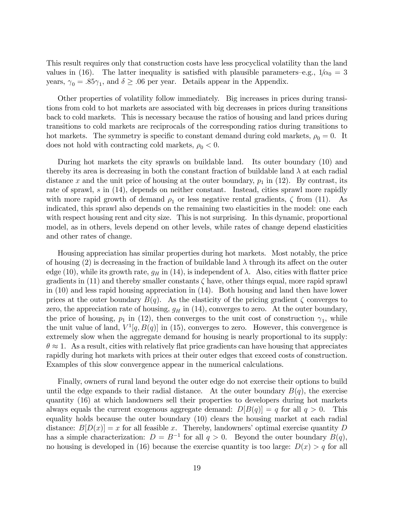This result requires only that construction costs have less procyclical volatility than the land values in (16). The latter inequality is satisfied with plausible parameters–e.g.,  $1/\alpha_0 = 3$ years,  $\gamma_0 = .85\gamma_1$ , and  $\delta \ge .06$  per year. Details appear in the Appendix.

Other properties of volatility follow immediately. Big increases in prices during transitions from cold to hot markets are associated with big decreases in prices during transitions back to cold markets. This is necessary because the ratios of housing and land prices during transitions to cold markets are reciprocals of the corresponding ratios during transitions to hot markets. The symmetry is specific to constant demand during cold markets,  $\rho_0 = 0$ . It does not hold with contracting cold markets,  $\rho_0 < 0$ .

During hot markets the city sprawls on buildable land. Its outer boundary (10) and thereby its area is decreasing in both the constant fraction of buildable land  $\lambda$  at each radial distance x and the unit price of housing at the outer boundary,  $p_1$  in (12). By contrast, its rate of sprawl, s in (14), depends on neither constant. Instead, cities sprawl more rapidly with more rapid growth of demand  $\rho_1$  or less negative rental gradients,  $\zeta$  from (11). As indicated, this sprawl also depends on the remaining two elasticities in the model: one each with respect housing rent and city size. This is not surprising. In this dynamic, proportional model, as in others, levels depend on other levels, while rates of change depend elasticities and other rates of change.

Housing appreciation has similar properties during hot markets. Most notably, the price of housing (2) is decreasing in the fraction of buildable land  $\lambda$  through its affect on the outer edge (10), while its growth rate,  $g_H$  in (14), is independent of  $\lambda$ . Also, cities with flatter price gradients in  $(11)$  and thereby smaller constants  $\zeta$  have, other things equal, more rapid sprawl in (10) and less rapid housing appreciation in (14). Both housing and land then have lower prices at the outer boundary  $B(q)$ . As the elasticity of the pricing gradient  $\zeta$  converges to zero, the appreciation rate of housing,  $g_H$  in (14), converges to zero. At the outer boundary, the price of housing,  $p_1$  in (12), then converges to the unit cost of construction  $\gamma_1$ , while the unit value of land,  $V^1[q, B(q)]$  in (15), converges to zero. However, this convergence is extremely slow when the aggregate demand for housing is nearly proportional to its supply:  $\theta \approx 1$ . As a result, cities with relatively flat price gradients can have housing that appreciates rapidly during hot markets with prices at their outer edges that exceed costs of construction. Examples of this slow convergence appear in the numerical calculations.

Finally, owners of rural land beyond the outer edge do not exercise their options to build until the edge expands to their radial distance. At the outer boundary  $B(q)$ , the exercise quantity (16) at which landowners sell their properties to developers during hot markets always equals the current exogenous aggregate demand:  $D[B(q)] = q$  for all  $q > 0$ . This equality holds because the outer boundary (10) clears the housing market at each radial distance:  $B[D(x)] = x$  for all feasible x. Thereby, landowners' optimal exercise quantity D has a simple characterization:  $D = B^{-1}$  for all  $q > 0$ . Beyond the outer boundary  $B(q)$ , no housing is developed in (16) because the exercise quantity is too large:  $D(x) > q$  for all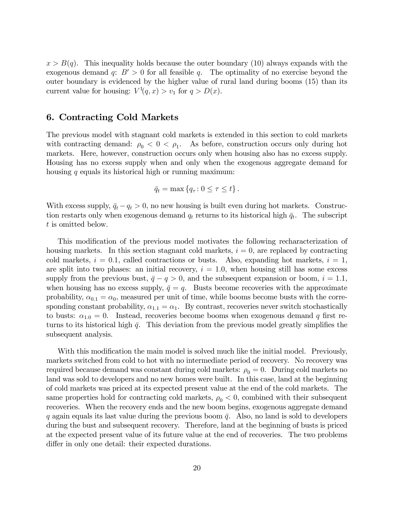$x > B(q)$ . This inequality holds because the outer boundary (10) always expands with the exogenous demand q:  $B' > 0$  for all feasible q. The optimality of no exercise beyond the outer boundary is evidenced by the higher value of rural land during booms (15) than its current value for housing:  $V^1(q, x) > v_1$  for  $q > D(x)$ .

## 6. Contracting Cold Markets

The previous model with stagnant cold markets is extended in this section to cold markets with contracting demand:  $\rho_0 < 0 < \rho_1$ . As before, construction occurs only during hot markets. Here, however, construction occurs only when housing also has no excess supply. Housing has no excess supply when and only when the exogenous aggregate demand for housing  $q$  equals its historical high or running maximum:

$$
\bar{q}_t = \max\left\{q_\tau : 0 \leq \tau \leq t\right\}.
$$

With excess supply,  $\bar{q}_t - q_t > 0$ , no new housing is built even during hot markets. Construction restarts only when exogenous demand  $q_t$  returns to its historical high  $\bar{q}_t$ . The subscript t is omitted below.

This modification of the previous model motivates the following recharacterization of housing markets. In this section stagnant cold markets,  $i = 0$ , are replaced by contracting cold markets,  $i = 0.1$ , called contractions or busts. Also, expanding hot markets,  $i = 1$ , are split into two phases: an initial recovery,  $i = 1.0$ , when housing still has some excess supply from the previous bust,  $\bar{q} - q > 0$ , and the subsequent expansion or boom,  $i = 1.1$ , when housing has no excess supply,  $\bar{q} = q$ . Busts become recoveries with the approximate probability,  $\alpha_{0,1} = \alpha_0$ , measured per unit of time, while booms become busts with the corresponding constant probability,  $\alpha_{1,1} = \alpha_1$ . By contrast, recoveries never switch stochastically to busts:  $\alpha_{1,0} = 0$ . Instead, recoveries become booms when exogenous demand q first returns to its historical high  $\bar{q}$ . This deviation from the previous model greatly simplifies the subsequent analysis.

With this modification the main model is solved much like the initial model. Previously, markets switched from cold to hot with no intermediate period of recovery. No recovery was required because demand was constant during cold markets:  $\rho_0 = 0$ . During cold markets no land was sold to developers and no new homes were built. In this case, land at the beginning of cold markets was priced at its expected present value at the end of the cold markets. The same properties hold for contracting cold markets,  $\rho_0 < 0$ , combined with their subsequent recoveries. When the recovery ends and the new boom begins, exogenous aggregate demand q again equals its last value during the previous boom  $\bar{q}$ . Also, no land is sold to developers during the bust and subsequent recovery. Therefore, land at the beginning of busts is priced at the expected present value of its future value at the end of recoveries. The two problems differ in only one detail: their expected durations.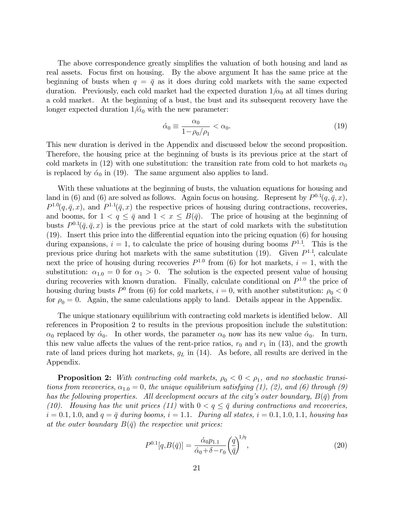The above correspondence greatly simplifies the valuation of both housing and land as real assets. Focus first on housing. By the above argument It has the same price at the beginning of busts when  $q = \bar{q}$  as it does during cold markets with the same expected duration. Previously, each cold market had the expected duration  $1/\alpha_0$  at all times during a cold market. At the beginning of a bust, the bust and its subsequent recovery have the longer expected duration  $1/\alpha_0$  with the new parameter:

$$
\acute{\alpha}_0 \equiv \frac{\alpha_0}{1 - \rho_0/\rho_1} < \alpha_0. \tag{19}
$$

This new duration is derived in the Appendix and discussed below the second proposition. Therefore, the housing price at the beginning of busts is its previous price at the start of cold markets in (12) with one substitution: the transition rate from cold to hot markets  $\alpha_0$ is replaced by  $\dot{\alpha}_0$  in (19). The same argument also applies to land.

With these valuations at the beginning of busts, the valuation equations for housing and land in (6) and (6) are solved as follows. Again focus on housing. Represent by  $P^{0.1}(q, \bar{q}, x)$ ,  $P^{1.0}(q, \bar{q}, x)$ , and  $P^{1.1}(\bar{q}, x)$  the respective prices of housing during contractions, recoveries, and booms, for  $1 < q \leq \bar{q}$  and  $1 < x \leq B(\bar{q})$ . The price of housing at the beginning of busts  $P^{0,1}(\bar{q}, \bar{q}, x)$  is the previous price at the start of cold markets with the substitution  $(19)$ . Insert this price into the differential equation into the pricing equation  $(6)$  for housing during expansions,  $i = 1$ , to calculate the price of housing during booms  $P^{1,1}$ . This is the previous price during hot markets with the same substitution  $(19)$ . Given  $P^{1,1}$ , calculate next the price of housing during recoveries  $P^{1.0}$  from (6) for hot markets,  $i = 1$ , with the substitution:  $\alpha_{1,0} = 0$  for  $\alpha_1 > 0$ . The solution is the expected present value of housing during recoveries with known duration. Finally, calculate conditional on  $P^{1.0}$  the price of housing during busts  $P^0$  from (6) for cold markets,  $i = 0$ , with another substitution:  $\rho_0 < 0$ for  $\rho_0 = 0$ . Again, the same calculations apply to land. Details appear in the Appendix.

The unique stationary equilibrium with contracting cold markets is identified below. All references in Proposition 2 to results in the previous proposition include the substitution:  $\alpha_0$  replaced by  $\alpha_0$ . In other words, the parameter  $\alpha_0$  now has its new value  $\alpha_0$ . In turn, this new value affects the values of the rent-price ratios,  $r_0$  and  $r_1$  in (13), and the growth rate of land prices during hot markets,  $g_L$  in (14). As before, all results are derived in the Appendix.

**Proposition 2:** With contracting cold markets,  $\rho_0 < 0 < \rho_1$ , and no stochastic transitions from recoveries,  $\alpha_{1,0} = 0$ , the unique equilibrium satisfying (1), (2), and (6) through (9) has the following properties. All development occurs at the city's outer boundary,  $B(\bar{q})$  from (10). Housing has the unit prices (11) with  $0 < q \leq \bar{q}$  during contractions and recoveries,  $i = 0.1, 1.0,$  and  $q = \overline{q}$  during booms,  $i = 1.1$ . During all states,  $i = 0.1, 1.0, 1.1$ , housing has at the outer boundary  $B(\bar{q})$  the respective unit prices:

$$
P^{0.1}[q, B(\bar{q})] = \frac{\dot{\alpha}_0 p_{1.1}}{\dot{\alpha}_0 + \delta - r_0} \left(\frac{q}{\bar{q}}\right)^{1/\eta},\tag{20}
$$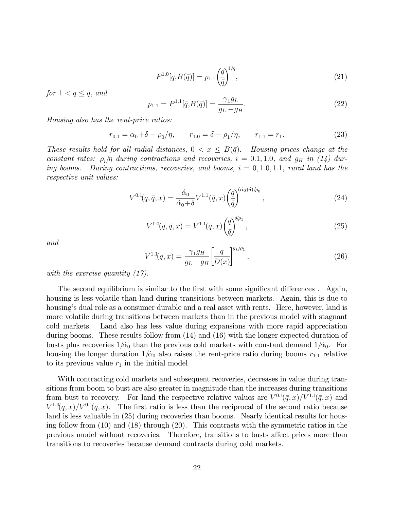$$
P^{1.0}[q, B(\bar{q})] = p_{1.1} \left(\frac{q}{\bar{q}}\right)^{1/\eta},\tag{21}
$$

for  $1 < q \leq \bar{q}$ , and

$$
p_{1.1} = P^{1.1}[\bar{q}, B(\bar{q})] = \frac{\gamma_1 g_L}{g_L - g_H}.
$$
\n(22)

Housing also has the rent-price ratios:

$$
r_{0.1} = \alpha_0 + \delta - \rho_0/\eta, \qquad r_{1.0} = \delta - \rho_1/\eta, \qquad r_{1.1} = r_1. \tag{23}
$$

These results hold for all radial distances,  $0 < x \leq B(\bar{q})$ . Housing prices change at the constant rates:  $\rho_i/\eta$  during contractions and recoveries,  $i = 0.1, 1.0,$  and  $g_H$  in (14) during booms. During contractions, recoveries, and booms,  $i = 0, 1.0, 1.1$ , rural land has the respective unit values:

$$
V^{0.1}(q, \bar{q}, x) = \frac{\dot{\alpha}_0}{\dot{\alpha}_0 + \delta} V^{1.1}(\bar{q}, x) \left(\frac{q}{\bar{q}}\right)^{(\dot{\alpha}_0 + \delta)/\rho_0}, \qquad (24)
$$

$$
V^{1.0}(q, \bar{q}, x) = V^{1.1}(\bar{q}, x) \left(\frac{q}{\bar{q}}\right)^{\delta/\rho_1}, \qquad (25)
$$

and

$$
V^{1.1}(q,x) = \frac{\gamma_1 g_H}{g_L - g_H} \left[ \frac{q}{D(x)} \right]^{g_L/\rho_1},\tag{26}
$$

with the exercise quantity  $(17)$ .

The second equilibrium is similar to the first with some significant differences. Again, housing is less volatile than land during transitions between markets. Again, this is due to housing's dual role as a consumer durable and a real asset with rents. Here, however, land is more volatile during transitions between markets than in the previous model with stagnant cold markets. Land also has less value during expansions with more rapid appreciation during booms. These results follow from (14) and (16) with the longer expected duration of busts plus recoveries  $1/\alpha_0$  than the previous cold markets with constant demand  $1/\alpha_0$ . For housing the longer duration  $1/\tilde{\alpha}_0$  also raises the rent-price ratio during booms  $r_{1,1}$  relative to its previous value  $r_1$  in the initial model

With contracting cold markets and subsequent recoveries, decreases in value during transitions from boom to bust are also greater in magnitude than the increases during transitions from bust to recovery. For land the respective relative values are  $V^{0.1}(\bar{q},x)/V^{1.1}(\bar{q},x)$  and  $V^{1.0}(q, x)/V^{0.1}(q, x)$ . The first ratio is less than the reciprocal of the second ratio because land is less valuable in (25) during recoveries than booms. Nearly identical results for housing follow from (10) and (18) through (20). This contrasts with the symmetric ratios in the previous model without recoveries. Therefore, transitions to busts affect prices more than transitions to recoveries because demand contracts during cold markets.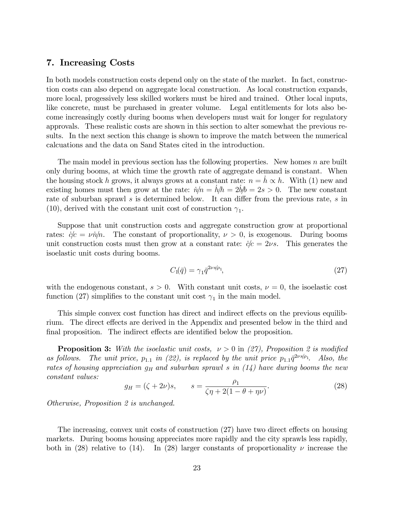# 7. Increasing Costs

In both models construction costs depend only on the state of the market. In fact, construction costs can also depend on aggregate local construction. As local construction expands, more local, progessively less skilled workers must be hired and trained. Other local inputs, like concrete, must be purchased in greater volume. Legal entitlements for lots also become increasingly costly during booms when developers must wait for longer for regulatory approvals. These realistic costs are shown in this section to alter somewhat the previous results. In the next section this change is shown to improve the match between the numerical calcuations and the data on Sand States cited in the introduction.

The main model in previous section has the following properties. New homes  $n$  are built only during booms, at which time the growth rate of aggregate demand is constant. When the housing stock h grows, it always grows at a constant rate:  $n = h \propto h$ . With (1) new and existing homes must then grow at the rate:  $n/n = h/h = 2b/b = 2s > 0$ . The new constant rate of suburban sprawl  $s$  is determined below. It can differ from the previous rate,  $s$  in (10), derived with the constant unit cost of construction  $\gamma_1$ .

Suppose that unit construction costs and aggregate construction grow at proportional rates:  $\dot{\phi}c = \nu \dot{n}/n$ . The constant of proportionality,  $\nu > 0$ , is exogenous. During booms unit construction costs must then grow at a constant rate:  $\dot{c}/c = 2\nu s$ . This generates the isoelastic unit costs during booms.

$$
C_1(\bar{q}) = \gamma_1 \bar{q}^{2\nu s/\rho_1},\tag{27}
$$

with the endogenous constant,  $s > 0$ . With constant unit costs,  $\nu = 0$ , the isoelastic cost function (27) simplifies to the constant unit cost  $\gamma_1$  in the main model.

This simple convex cost function has direct and indirect effects on the previous equilibrium. The direct effects are derived in the Appendix and presented below in the third and final proposition. The indirect effects are identified below the proposition.

**Proposition 3:** With the isoelastic unit costs,  $\nu > 0$  in (27), Proposition 2 is modified as follows. The unit price,  $p_{1,1}$  in (22), is replaced by the unit price  $p_{1,1}\bar{q}^{2\nu s/\rho_1}$ . Also, the rates of housing appreciation  $g_H$  and suburban sprawl s in (14) have during booms the new constant values:

$$
g_H = (\zeta + 2\nu)s
$$
,  $s = \frac{\rho_1}{\zeta \eta + 2(1 - \theta + \eta \nu)}$ . (28)

Otherwise, Proposition 2 is unchanged.

The increasing, convex unit costs of construction  $(27)$  have two direct effects on housing markets. During booms housing appreciates more rapidly and the city sprawls less rapidly, both in (28) relative to (14). In (28) larger constants of proportionality  $\nu$  increase the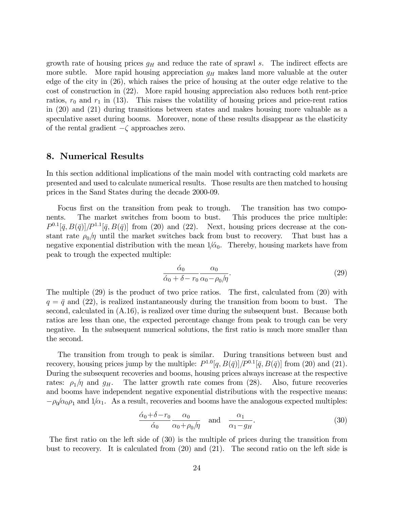growth rate of housing prices  $g_H$  and reduce the rate of sprawl s. The indirect effects are more subtle. More rapid housing appreciation  $g_H$  makes land more valuable at the outer edge of the city in (26), which raises the price of housing at the outer edge relative to the cost of construction in (22). More rapid housing appreciation also reduces both rent-price ratios,  $r_0$  and  $r_1$  in (13). This raises the volatility of housing prices and price-rent ratios in (20) and (21) during transitions between states and makes housing more valuable as a speculative asset during booms. Moreover, none of these results disappear as the elasticity of the rental gradient  $-\zeta$  approaches zero.

#### 8. Numerical Results

In this section additional implications of the main model with contracting cold markets are presented and used to calculate numerical results. Those results are then matched to housing prices in the Sand States during the decade 2000-09.

Focus first on the transition from peak to trough. The transition has two components. The market switches from boom to bust. This produces the price multiple:  $P^{0.1}[\bar{q}, B(\bar{q})]/P^{1.1}[\bar{q}, B(\bar{q})]$  from (20) and (22). Next, housing prices decrease at the constant rate  $\rho_0/\eta$  until the market switches back from bust to recovery. That bust has a negative exponential distribution with the mean  $1/\alpha_0$ . Thereby, housing markets have from peak to trough the expected multiple:

$$
\frac{\dot{\alpha}_0}{\dot{\alpha}_0 + \delta - r_0} \frac{\alpha_0}{\alpha_0 - \rho_0/\eta}.
$$
\n(29)

The multiple  $(29)$  is the product of two price ratios. The first, calculated from  $(20)$  with  $q = \bar{q}$  and (22), is realized instantaneously during the transition from boom to bust. The second, calculated in (A.16), is realized over time during the subsequent bust. Because both ratios are less than one, the expected percentage change from peak to trough can be very negative. In the subsequent numerical solutions, the first ratio is much more smaller than the second.

The transition from trough to peak is similar. During transitions between bust and recovery, housing prices jump by the multiple:  $P^{1.0}[q, B(\bar{q})]/P^{0.1}[\bar{q}, B(\bar{q})]$  from (20) and (21). During the subsequent recoveries and booms, housing prices always increase at the respective rates:  $\rho_1/\eta$  and  $g_H$ . The latter growth rate comes from (28). Also, future recoveries and booms have independent negative exponential distributions with the respective means:  $-\rho_0/\alpha_0\rho_1$  and  $1/\alpha_1$ . As a result, recoveries and booms have the analogous expected multiples:

$$
\frac{\dot{\alpha}_0 + \delta - r_0}{\dot{\alpha}_0} \frac{\alpha_0}{\alpha_0 + \rho_0/\eta} \quad \text{and} \quad \frac{\alpha_1}{\alpha_1 - g_H}.\tag{30}
$$

The first ratio on the left side of (30) is the multiple of prices during the transition from bust to recovery. It is calculated from (20) and (21). The second ratio on the left side is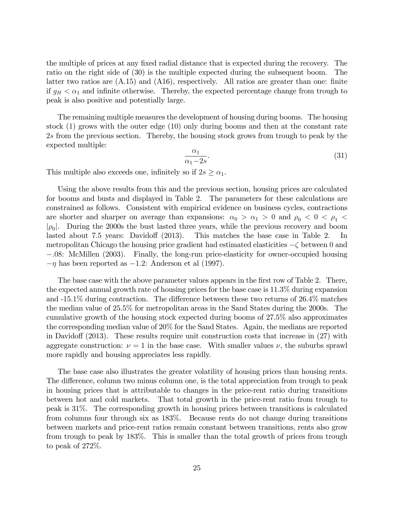the multiple of prices at any fixed radial distance that is expected during the recovery. The ratio on the right side of (30) is the multiple expected during the subsequent boom. The latter two ratios are  $(A.15)$  and  $(A16)$ , respectively. All ratios are greater than one: finite if  $g_H < \alpha_1$  and infinite otherwise. Thereby, the expected percentage change from trough to peak is also positive and potentially large.

The remaining multiple measures the development of housing during booms. The housing stock (1) grows with the outer edge (10) only during booms and then at the constant rate 2s from the previous section. Thereby, the housing stock grows from trough to peak by the expected multiple:

$$
\frac{\alpha_1}{\alpha_1 - 2s}.\tag{31}
$$

This multiple also exceeds one, infinitely so if  $2s \geq \alpha_1$ .

Using the above results from this and the previous section, housing prices are calculated for booms and busts and displayed in Table 2. The parameters for these calculations are constrained as follows. Consistent with empirical evidence on business cycles, contractions are shorter and sharper on average than expansions:  $\alpha_0 > \alpha_1 > 0$  and  $\rho_0 < 0 < \rho_1 <$  $|\rho_0|$ . During the 2000s the bust lasted three years, while the previous recovery and boom lasted about 7.5 years: Davidoff  $(2013)$ . This matches the base case in Table 2. In metropolitan Chicago the housing price gradient had estimated elasticities  $-\zeta$  between 0 and :08: McMillen (2003). Finally, the long-run price-elasticity for owner-occupied housing  $-\eta$  has been reported as  $-1.2$ : Anderson et al (1997).

The base case with the above parameter values appears in the first row of Table 2. There, the expected annual growth rate of housing prices for the base case is 11.3% during expansion and  $-15.1\%$  during contraction. The difference between these two returns of  $26.4\%$  matches the median value of 25.5% for metropolitan areas in the Sand States during the 2000s. The cumulative growth of the housing stock expected during booms of 27.5% also approximates the corresponding median value of 20% for the Sand States. Again, the medians are reported in Davidoff  $(2013)$ . These results require unit construction costs that increase in  $(27)$  with aggregate construction:  $\nu = 1$  in the base case. With smaller values  $\nu$ , the suburbs sprawl more rapidly and housing appreciates less rapidly.

The base case also illustrates the greater volatility of housing prices than housing rents. The difference, column two minus column one, is the total appreciation from trough to peak in housing prices that is attributable to changes in the price-rent ratio during transitions between hot and cold markets. That total growth in the price-rent ratio from trough to peak is 31%. The corresponding growth in housing prices between transitions is calculated from columns four through six as 183%. Because rents do not change during transitions between markets and price-rent ratios remain constant between transitions, rents also grow from trough to peak by 183%. This is smaller than the total growth of prices from trough to peak of 272%.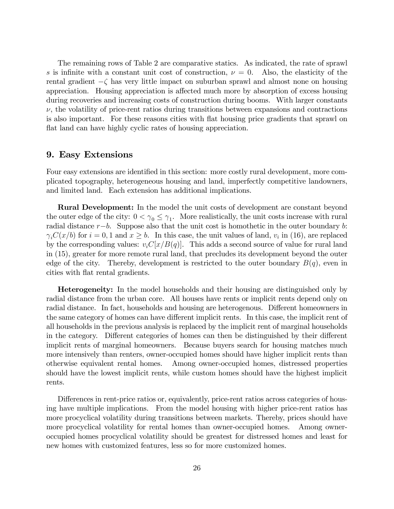The remaining rows of Table 2 are comparative statics. As indicated, the rate of sprawl s is infinite with a constant unit cost of construction,  $\nu = 0$ . Also, the elasticity of the rental gradient  $-\zeta$  has very little impact on suburban sprawl and almost none on housing appreciation. Housing appreciation is affected much more by absorption of excess housing during recoveries and increasing costs of construction during booms. With larger constants  $\nu$ , the volatility of price-rent ratios during transitions between expansions and contractions is also important. For these reasons cities with áat housing price gradients that sprawl on flat land can have highly cyclic rates of housing appreciation.

#### 9. Easy Extensions

Four easy extensions are identified in this section: more costly rural development, more complicated topography, heterogeneous housing and land, imperfectly competitive landowners, and limited land. Each extension has additional implications.

**Rural Development:** In the model the unit costs of development are constant beyond the outer edge of the city:  $0 < \gamma_0 \leq \gamma_1$ . More realistically, the unit costs increase with rural radial distance  $r-b$ . Suppose also that the unit cost is homothetic in the outer boundary b:  $\gamma_iC(x/b)$  for  $i = 0, 1$  and  $x \geq b$ . In this case, the unit values of land,  $v_i$  in (16), are replaced by the corresponding values:  $v_iC[x/B(q)]$ . This adds a second source of value for rural land in (15), greater for more remote rural land, that precludes its development beyond the outer edge of the city. Thereby, development is restricted to the outer boundary  $B(q)$ , even in cities with flat rental gradients.

**Heterogeneity:** In the model households and their housing are distinguished only by radial distance from the urban core. All houses have rents or implicit rents depend only on radial distance. In fact, households and housing are heterogenous. Different homeowners in the same category of homes can have different implicit rents. In this case, the implicit rent of all households in the previous analysis is replaced by the implicit rent of marginal households in the category. Different categories of homes can then be distinguished by their different implicit rents of marginal homeowners. Because buyers search for housing matches much more intensively than renters, owner-occupied homes should have higher implicit rents than otherwise equivalent rental homes. Among owner-occupied homes, distressed properties should have the lowest implicit rents, while custom homes should have the highest implicit rents.

Differences in rent-price ratios or, equivalently, price-rent ratios across categories of housing have multiple implications. From the model housing with higher price-rent ratios has more procyclical volatility during transitions between markets. Thereby, prices should have more procyclical volatility for rental homes than owner-occupied homes. Among owneroccupied homes procyclical volatility should be greatest for distressed homes and least for new homes with customized features, less so for more customized homes.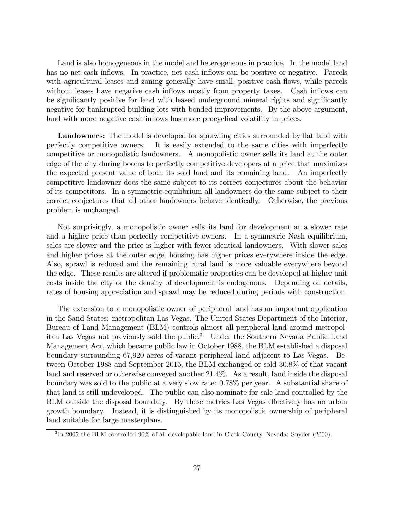Land is also homogeneous in the model and heterogeneous in practice. In the model land has no net cash inflows. In practice, net cash inflows can be positive or negative. Parcels with agricultural leases and zoning generally have small, positive cash flows, while parcels without leases have negative cash inflows mostly from property taxes. Cash inflows can be significantly positive for land with leased underground mineral rights and significantly negative for bankrupted building lots with bonded improvements. By the above argument, land with more negative cash inflows has more procyclical volatility in prices.

**Landowners:** The model is developed for sprawling cities surrounded by flat land with perfectly competitive owners. It is easily extended to the same cities with imperfectly competitive or monopolistic landowners. A monopolistic owner sells its land at the outer edge of the city during booms to perfectly competitive developers at a price that maximizes the expected present value of both its sold land and its remaining land. An imperfectly competitive landowner does the same subject to its correct conjectures about the behavior of its competitors. In a symmetric equilibrium all landowners do the same subject to their correct conjectures that all other landowners behave identically. Otherwise, the previous problem is unchanged.

Not surprisingly, a monopolistic owner sells its land for development at a slower rate and a higher price than perfectly competitive owners. In a symmetric Nash equilibrium, sales are slower and the price is higher with fewer identical landowners. With slower sales and higher prices at the outer edge, housing has higher prices everywhere inside the edge. Also, sprawl is reduced and the remaining rural land is more valuable everywhere beyond the edge. These results are altered if problematic properties can be developed at higher unit costs inside the city or the density of development is endogenous. Depending on details, rates of housing appreciation and sprawl may be reduced during periods with construction.

The extension to a monopolistic owner of peripheral land has an important application in the Sand States: metropolitan Las Vegas. The United States Department of the Interior, Bureau of Land Management (BLM) controls almost all peripheral land around metropolitan Las Vegas not previously sold the public.<sup>3</sup> Under the Southern Nevada Public Land Management Act, which became public law in October 1988, the BLM established a disposal boundary surrounding 67,920 acres of vacant peripheral land adjacent to Las Vegas. Between October 1988 and September 2015, the BLM exchanged or sold 30.8% of that vacant land and reserved or otherwise conveyed another 21.4%. As a result, land inside the disposal boundary was sold to the public at a very slow rate: 0.78% per year. A substantial share of that land is still undeveloped. The public can also nominate for sale land controlled by the BLM outside the disposal boundary. By these metrics Las Vegas effectively has no urban growth boundary. Instead, it is distinguished by its monopolistic ownership of peripheral land suitable for large masterplans.

 ${}^{3}\text{In}$  2005 the BLM controlled 90% of all developable land in Clark County, Nevada: Snyder (2000).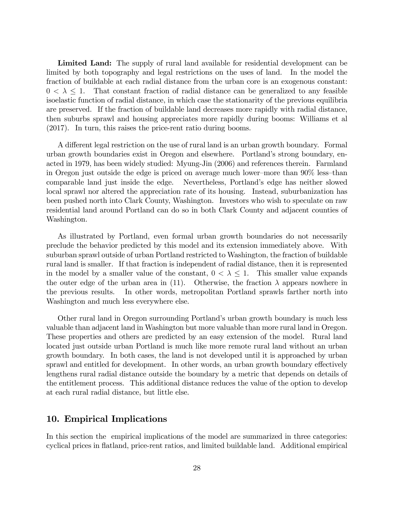Limited Land: The supply of rural land available for residential development can be limited by both topography and legal restrictions on the uses of land. In the model the fraction of buildable at each radial distance from the urban core is an exogenous constant:  $0 < \lambda \leq 1$ . That constant fraction of radial distance can be generalized to any feasible isoelastic function of radial distance, in which case the stationarity of the previous equilibria are preserved. If the fraction of buildable land decreases more rapidly with radial distance, then suburbs sprawl and housing appreciates more rapidly during booms: Williams et al (2017). In turn, this raises the price-rent ratio during booms.

A different legal restriction on the use of rural land is an urban growth boundary. Formal urban growth boundaries exist in Oregon and elsewhere. Portland's strong boundary, enacted in 1979, has been widely studied: Myung-Jin (2006) and references therein. Farmland in Oregon just outside the edge is priced on average much lower–more than  $90\%$  less–than comparable land just inside the edge. Nevertheless, Portland's edge has neither slowed local sprawl nor altered the appreciation rate of its housing. Instead, suburbanization has been pushed north into Clark County, Washington. Investors who wish to speculate on raw residential land around Portland can do so in both Clark County and adjacent counties of Washington.

As illustrated by Portland, even formal urban growth boundaries do not necessarily preclude the behavior predicted by this model and its extension immediately above. With suburban sprawl outside of urban Portland restricted to Washington, the fraction of buildable rural land is smaller. If that fraction is independent of radial distance, then it is represented in the model by a smaller value of the constant,  $0 < \lambda \leq 1$ . This smaller value expands the outer edge of the urban area in (11). Otherwise, the fraction  $\lambda$  appears nowhere in the previous results. In other words, metropolitan Portland sprawls farther north into Washington and much less everywhere else.

Other rural land in Oregon surrounding Portlandís urban growth boundary is much less valuable than adjacent land in Washington but more valuable than more rural land in Oregon. These properties and others are predicted by an easy extension of the model. Rural land located just outside urban Portland is much like more remote rural land without an urban growth boundary. In both cases, the land is not developed until it is approached by urban sprawl and entitled for development. In other words, an urban growth boundary effectively lengthens rural radial distance outside the boundary by a metric that depends on details of the entitlement process. This additional distance reduces the value of the option to develop at each rural radial distance, but little else.

#### 10. Empirical Implications

In this section the empirical implications of the model are summarized in three categories: cyclical prices in áatland, price-rent ratios, and limited buildable land. Additional empirical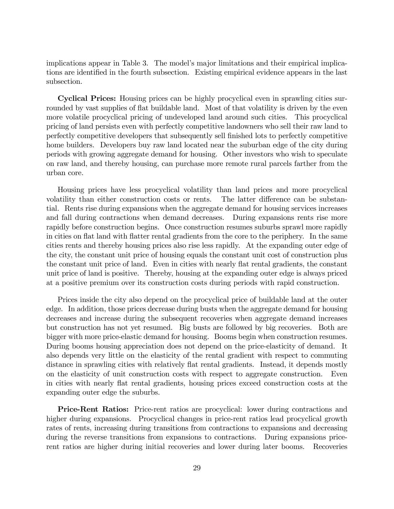implications appear in Table 3. The model's major limitations and their empirical implications are identified in the fourth subsection. Existing empirical evidence appears in the last subsection.

Cyclical Prices: Housing prices can be highly procyclical even in sprawling cities surrounded by vast supplies of flat buildable land. Most of that volatility is driven by the even more volatile procyclical pricing of undeveloped land around such cities. This procyclical pricing of land persists even with perfectly competitive landowners who sell their raw land to perfectly competitive developers that subsequently sell Önished lots to perfectly competitive home builders. Developers buy raw land located near the suburban edge of the city during periods with growing aggregate demand for housing. Other investors who wish to speculate on raw land, and thereby housing, can purchase more remote rural parcels farther from the urban core.

Housing prices have less procyclical volatility than land prices and more procyclical volatility than either construction costs or rents. The latter difference can be substantial. Rents rise during expansions when the aggregate demand for housing services increases and fall during contractions when demand decreases. During expansions rents rise more rapidly before construction begins. Once construction resumes suburbs sprawl more rapidly in cities on flat land with flatter rental gradients from the core to the periphery. In the same cities rents and thereby housing prices also rise less rapidly. At the expanding outer edge of the city, the constant unit price of housing equals the constant unit cost of construction plus the constant unit price of land. Even in cities with nearly flat rental gradients, the constant unit price of land is positive. Thereby, housing at the expanding outer edge is always priced at a positive premium over its construction costs during periods with rapid construction.

Prices inside the city also depend on the procyclical price of buildable land at the outer edge. In addition, those prices decrease during busts when the aggregate demand for housing decreases and increase during the subsequent recoveries when aggregate demand increases but construction has not yet resumed. Big busts are followed by big recoveries. Both are bigger with more price-elastic demand for housing. Booms begin when construction resumes. During booms housing appreciation does not depend on the price-elasticity of demand. It also depends very little on the elasticity of the rental gradient with respect to commuting distance in sprawling cities with relatively flat rental gradients. Instead, it depends mostly on the elasticity of unit construction costs with respect to aggregate construction. Even in cities with nearly flat rental gradients, housing prices exceed construction costs at the expanding outer edge the suburbs.

**Price-Rent Ratios:** Price-rent ratios are procyclical: lower during contractions and higher during expansions. Procyclical changes in price-rent ratios lead procyclical growth rates of rents, increasing during transitions from contractions to expansions and decreasing during the reverse transitions from expansions to contractions. During expansions pricerent ratios are higher during initial recoveries and lower during later booms. Recoveries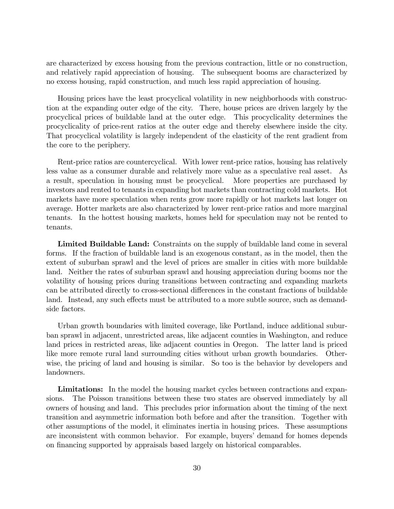are characterized by excess housing from the previous contraction, little or no construction, and relatively rapid appreciation of housing. The subsequent booms are characterized by no excess housing, rapid construction, and much less rapid appreciation of housing.

Housing prices have the least procyclical volatility in new neighborhoods with construction at the expanding outer edge of the city. There, house prices are driven largely by the procyclical prices of buildable land at the outer edge. This procyclicality determines the procyclicality of price-rent ratios at the outer edge and thereby elsewhere inside the city. That procyclical volatility is largely independent of the elasticity of the rent gradient from the core to the periphery.

Rent-price ratios are countercyclical. With lower rent-price ratios, housing has relatively less value as a consumer durable and relatively more value as a speculative real asset. As a result, speculation in housing must be procyclical. More properties are purchased by investors and rented to tenants in expanding hot markets than contracting cold markets. Hot markets have more speculation when rents grow more rapidly or hot markets last longer on average. Hotter markets are also characterized by lower rent-price ratios and more marginal tenants. In the hottest housing markets, homes held for speculation may not be rented to tenants.

Limited Buildable Land: Constraints on the supply of buildable land come in several forms. If the fraction of buildable land is an exogenous constant, as in the model, then the extent of suburban sprawl and the level of prices are smaller in cities with more buildable land. Neither the rates of suburban sprawl and housing appreciation during booms nor the volatility of housing prices during transitions between contracting and expanding markets can be attributed directly to cross-sectional differences in the constant fractions of buildable land. Instead, any such effects must be attributed to a more subtle source, such as demandside factors.

Urban growth boundaries with limited coverage, like Portland, induce additional suburban sprawl in adjacent, unrestricted areas, like adjacent counties in Washington, and reduce land prices in restricted areas, like adjacent counties in Oregon. The latter land is priced like more remote rural land surrounding cities without urban growth boundaries. Otherwise, the pricing of land and housing is similar. So too is the behavior by developers and landowners.

Limitations: In the model the housing market cycles between contractions and expansions. The Poisson transitions between these two states are observed immediately by all owners of housing and land. This precludes prior information about the timing of the next transition and asymmetric information both before and after the transition. Together with other assumptions of the model, it eliminates inertia in housing prices. These assumptions are inconsistent with common behavior. For example, buyers' demand for homes depends on financing supported by appraisals based largely on historical comparables.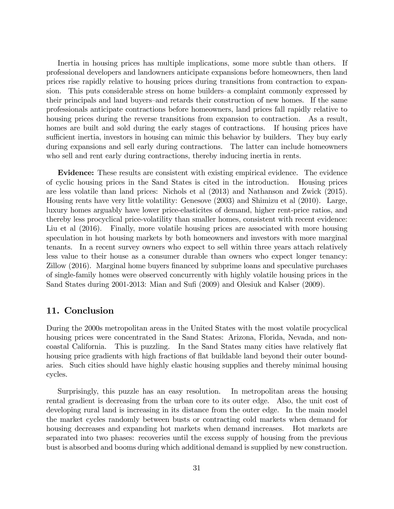Inertia in housing prices has multiple implications, some more subtle than others. If professional developers and landowners anticipate expansions before homeowners, then land prices rise rapidly relative to housing prices during transitions from contraction to expansion. This puts considerable stress on home builders—a complaint commonly expressed by their principals and land buyers–and retards their construction of new homes. If the same professionals anticipate contractions before homeowners, land prices fall rapidly relative to housing prices during the reverse transitions from expansion to contraction. As a result, homes are built and sold during the early stages of contractions. If housing prices have sufficient inertia, investors in housing can mimic this behavior by builders. They buy early during expansions and sell early during contractions. The latter can include homeowners who sell and rent early during contractions, thereby inducing inertia in rents.

Evidence: These results are consistent with existing empirical evidence. The evidence of cyclic housing prices in the Sand States is cited in the introduction. Housing prices are less volatile than land prices: Nichols et al (2013) and Nathanson and Zwick (2015). Housing rents have very little volatility: Genesove (2003) and Shimizu et al (2010). Large, luxury homes arguably have lower price-elasticites of demand, higher rent-price ratios, and thereby less procyclical price-volatility than smaller homes, consistent with recent evidence: Liu et al (2016). Finally, more volatile housing prices are associated with more housing speculation in hot housing markets by both homeowners and investors with more marginal tenants. In a recent survey owners who expect to sell within three years attach relatively less value to their house as a consumer durable than owners who expect longer tenancy: Zillow (2016). Marginal home buyers Önanced by subprime loans and speculative purchases of single-family homes were observed concurrently with highly volatile housing prices in the Sand States during 2001-2013: Mian and Sufi (2009) and Olesiuk and Kalser (2009).

# 11. Conclusion

During the 2000s metropolitan areas in the United States with the most volatile procyclical housing prices were concentrated in the Sand States: Arizona, Florida, Nevada, and noncoastal California. This is puzzling. In the Sand States many cities have relatively flat housing price gradients with high fractions of flat buildable land beyond their outer boundaries. Such cities should have highly elastic housing supplies and thereby minimal housing cycles.

Surprisingly, this puzzle has an easy resolution. In metropolitan areas the housing rental gradient is decreasing from the urban core to its outer edge. Also, the unit cost of developing rural land is increasing in its distance from the outer edge. In the main model the market cycles randomly between busts or contracting cold markets when demand for housing decreases and expanding hot markets when demand increases. Hot markets are separated into two phases: recoveries until the excess supply of housing from the previous bust is absorbed and booms during which additional demand is supplied by new construction.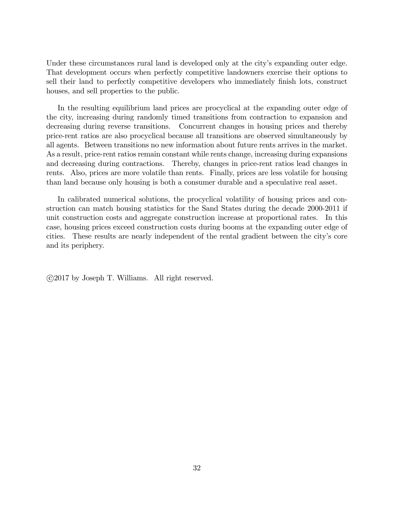Under these circumstances rural land is developed only at the city's expanding outer edge. That development occurs when perfectly competitive landowners exercise their options to sell their land to perfectly competitive developers who immediately finish lots, construct houses, and sell properties to the public.

In the resulting equilibrium land prices are procyclical at the expanding outer edge of the city, increasing during randomly timed transitions from contraction to expansion and decreasing during reverse transitions. Concurrent changes in housing prices and thereby price-rent ratios are also procyclical because all transitions are observed simultaneously by all agents. Between transitions no new information about future rents arrives in the market. As a result, price-rent ratios remain constant while rents change, increasing during expansions and decreasing during contractions. Thereby, changes in price-rent ratios lead changes in rents. Also, prices are more volatile than rents. Finally, prices are less volatile for housing than land because only housing is both a consumer durable and a speculative real asset.

In calibrated numerical solutions, the procyclical volatility of housing prices and construction can match housing statistics for the Sand States during the decade 2000-2011 if unit construction costs and aggregate construction increase at proportional rates. In this case, housing prices exceed construction costs during booms at the expanding outer edge of cities. These results are nearly independent of the rental gradient between the cityís core and its periphery.

c 2017 by Joseph T. Williams. All right reserved.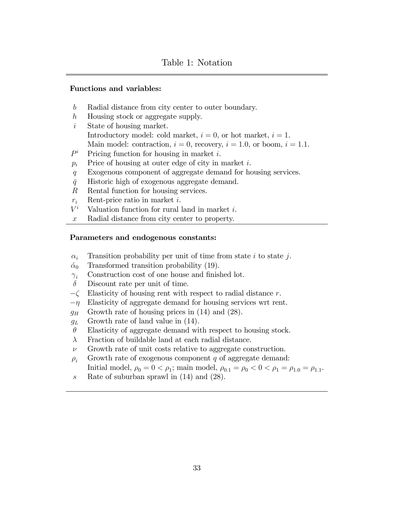## Functions and variables:

- b Radial distance from city center to outer boundary.
- h Housing stock or aggregate supply.
- $i$  State of housing market. Introductory model: cold market,  $i = 0$ , or hot market,  $i = 1$ . Main model: contraction,  $i = 0$ , recovery,  $i = 1.0$ , or boom,  $i = 1.1$ .
- $P^i$ Pricing function for housing in market  $i$ .
- $p_i$  Price of housing at outer edge of city in market i.
- q Exogenous component of aggregate demand for housing services.
- $\bar{q}$  Historic high of exogenous aggregate demand.
- R Rental function for housing services.
- $r_i$  Rent-price ratio in market i.
- $V^i$ Valuation function for rural land in market  $i$ .
- x Radial distance from city center to property.

#### Parameters and endogenous constants:

- $\alpha_i$  Transition probability per unit of time from state i to state j.
- $\dot{\alpha}_0$  Transformed transition probability (19).
- $\gamma_i$  Construction cost of one house and finished lot.
- $\delta$  Discount rate per unit of time.
- $-\zeta$  Elasticity of housing rent with respect to radial distance r.<br>- $\eta$  Elasticity of aggregate demand for housing services wrt ren
- Elasticity of aggregate demand for housing services wrt rent.
- $g_H$  Growth rate of housing prices in (14) and (28).
- $g_L$  Growth rate of land value in (14).
- $\theta$  Elasticity of aggregate demand with respect to housing stock.
- $\lambda$  Fraction of buildable land at each radial distance.
- $\nu$  Growth rate of unit costs relative to aggregate construction.
- $\rho_i$  Growth rate of exogenous component q of aggregate demand:

Initial model,  $\rho_0 = 0 < \rho_1$ ; main model,  $\rho_{0.1} = \rho_0 < 0 < \rho_1 = \rho_{1.0} = \rho_{1.1}$ .

s Rate of suburban sprawl in  $(14)$  and  $(28)$ .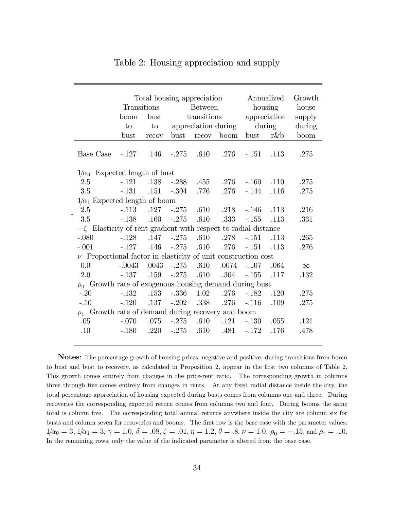|                                                                      |                               | Total housing appreciation | Annualized     |       | Growth              |              |                              |          |  |  |  |  |
|----------------------------------------------------------------------|-------------------------------|----------------------------|----------------|-------|---------------------|--------------|------------------------------|----------|--|--|--|--|
|                                                                      | Transitions                   |                            | <b>Between</b> |       |                     | housing      |                              | house    |  |  |  |  |
|                                                                      | boom                          | bust                       | transitions    |       |                     | appreciation |                              | supply   |  |  |  |  |
|                                                                      | to                            | to                         |                |       | appreciation during | during       |                              | during   |  |  |  |  |
|                                                                      | bust                          | recov                      | bust           | recov | boom                | bust         | $r \& b$                     | boom     |  |  |  |  |
| Base Case                                                            | $-.127$ $.146$ $-.275$ $.610$ |                            |                |       | .276                | $-.151$      | .113                         | .275     |  |  |  |  |
| $1/\alpha_0$ Expected length of bust                                 |                               |                            |                |       |                     |              |                              |          |  |  |  |  |
| 2.5                                                                  | $-.121$                       | .138                       | $-.288$        | .455  | .276                | $-.160$      | .110                         | .275     |  |  |  |  |
| 3.5                                                                  | $-.131$                       | .151                       | $-.304$        | .776  | .276                | $-.144$      | .116                         | .275     |  |  |  |  |
| $1/\alpha_1$ Expected length of boom                                 |                               |                            |                |       |                     |              |                              |          |  |  |  |  |
| 2.5                                                                  |                               | $-.113$ $.127$ $-.275$     |                | .610  | .218                | $-.146$      | .113                         | .216     |  |  |  |  |
| 3.5                                                                  | $-.138$                       | .160                       | $-.275$        | .610  | .333                | $-155$       | .113                         | .331     |  |  |  |  |
| $-\zeta$ Elasticity of rent gradient with respect to radial distance |                               |                            |                |       |                     |              |                              |          |  |  |  |  |
| $-.080$                                                              | $-.128$                       |                            | $.147 - .275$  | .610  | .278                | $-.151$      | .113                         | .265     |  |  |  |  |
| $-.001$                                                              | $-.127$                       | .146                       | $-.275$        | .610  | .276                | $-.151$      | $\overline{\phantom{0}}.113$ | .276     |  |  |  |  |
| $\nu$ Proportional factor in elasticity of unit construction cost    |                               |                            |                |       |                     |              |                              |          |  |  |  |  |
| 0.0                                                                  | $-.0043$                      | .0043                      | $-.275$        | .610  | .0074               | $-.107$      | .064                         | $\infty$ |  |  |  |  |
| 2.0                                                                  | $-.137$                       | .159                       | $-275$         | .610  | $.304\,$            | $-.155$      | .117                         | .132     |  |  |  |  |
| $\rho_0$ Growth rate of exogenous housing demand during bust         |                               |                            |                |       |                     |              |                              |          |  |  |  |  |
| $-.20$                                                               | $-.132$                       | .153                       | $-.336$        | 1.02  | .276                | $-.182$      | .120                         | .275     |  |  |  |  |
| $-.10$                                                               | $-.120$                       | $,137 - .202$              |                | .338  | .276                | $-.116$      | .109                         | .275     |  |  |  |  |
| $\rho_1$ Growth rate of demand during recovery and boom              |                               |                            |                |       |                     |              |                              |          |  |  |  |  |
| .05                                                                  | $-.070$                       | .075                       | $-.275$        | .610  | .121                | $-.130$      | .055                         | .121     |  |  |  |  |
| .10                                                                  | $-.180$                       | .220                       | $-.275$        | .610  | .481                | $-.172$      | .176                         | .478     |  |  |  |  |
|                                                                      |                               |                            |                |       |                     |              |                              |          |  |  |  |  |

# Table 2: Housing appreciation and supply

Notes: The percentage growth of housing prices, negative and positive, during transitions from boom to bust and bust to recovery, as calculated in Proposition 2, appear in the first two columns of Table 2. This growth comes entirely from changes in the price-rent ratio. The corresponding growth in columns three through five comes entirely from changes in rents. At any fixed radial distance inside the city, the total percentage appreciation of housing expected during busts comes from columns one and three. During recoveries the corresponding expected return comes from columns two and four. During booms the same total is column five. The corresponding total annual returns anywhere inside the city are column six for busts and column seven for recoveries and booms. The first row is the base case with the parameter values:  $1/\alpha_0 = 3$ ,  $1/\alpha_1 = 3$ ,  $\gamma = 1.0$ ,  $\delta = .08$ ,  $\zeta = .01$ ,  $\eta = 1.2$ ,  $\theta = .8$ ,  $\nu = 1.0$ ,  $\rho_0 = -.15$ , and  $\rho_1 = .10$ . In the remaining rows, only the value of the indicated parameter is altered from the base case.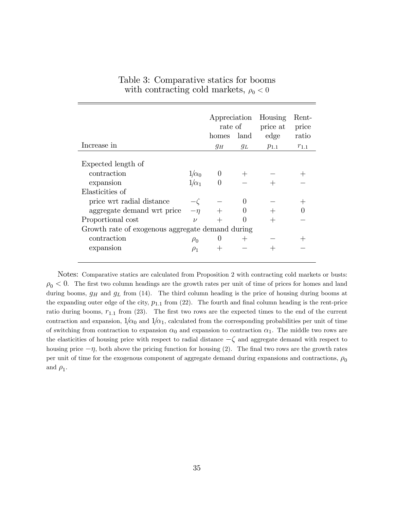| Increase in                                      |              | Appreciation<br>rate of<br>homes<br>$g_H$ | land<br>$g_L$ | Housing<br>price at<br>edge<br>$p_{1.1}$ | Rent-<br>price<br>ratio<br>$r_{1.1}$ |  |  |  |  |
|--------------------------------------------------|--------------|-------------------------------------------|---------------|------------------------------------------|--------------------------------------|--|--|--|--|
| Expected length of                               |              |                                           |               |                                          |                                      |  |  |  |  |
| contraction                                      | $1/\alpha_0$ | $\theta$                                  |               |                                          |                                      |  |  |  |  |
| expansion                                        | $1/\alpha_1$ |                                           |               |                                          |                                      |  |  |  |  |
| Elasticities of                                  |              |                                           |               |                                          |                                      |  |  |  |  |
| price wrt radial distance                        |              |                                           | 0             |                                          |                                      |  |  |  |  |
| aggregate demand wrt price                       | $-\eta$      |                                           |               |                                          |                                      |  |  |  |  |
| Proportional cost                                | $\nu$        |                                           |               |                                          |                                      |  |  |  |  |
| Growth rate of exogenous aggregate demand during |              |                                           |               |                                          |                                      |  |  |  |  |
| contraction                                      | $\rho_0$     |                                           | $^+$          |                                          |                                      |  |  |  |  |
| expansion                                        | $\rho_1$     |                                           |               |                                          |                                      |  |  |  |  |
|                                                  |              |                                           |               |                                          |                                      |  |  |  |  |

Table 3: Comparative statics for booms with contracting cold markets,  $\rho_0 < 0$ 

Notes: Comparative statics are calculated from Proposition 2 with contracting cold markets or busts:  $\rho_0 < 0$ . The first two column headings are the growth rates per unit of time of prices for homes and land during booms,  $g_H$  and  $g_L$  from (14). The third column heading is the price of housing during booms at the expanding outer edge of the city,  $p_{1,1}$  from (22). The fourth and final column heading is the rent-price ratio during booms,  $r_{1,1}$  from (23). The first two rows are the expected times to the end of the current contraction and expansion,  $1/\alpha_0$  and  $1/\alpha_1$ , calculated from the corresponding probabilities per unit of time of switching from contraction to expansion  $\alpha_0$  and expansion to contraction  $\alpha_1$ . The middle two rows are the elasticities of housing price with respect to radial distance  $-\zeta$  and aggregate demand with respect to housing price  $-\eta$ , both above the pricing function for housing (2). The final two rows are the growth rates per unit of time for the exogenous component of aggregate demand during expansions and contractions,  $\rho_0$ and  $\rho_1$ .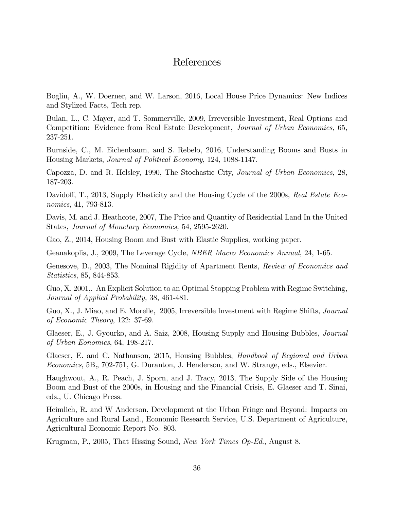# References

Boglin, A., W. Doerner, and W. Larson, 2016, Local House Price Dynamics: New Indices and Stylized Facts, Tech rep.

Bulan, L., C. Mayer, and T. Sommerville, 2009, Irreversible Investment, Real Options and Competition: Evidence from Real Estate Development, Journal of Urban Economics, 65, 237-251.

Burnside, C., M. Eichenbaum, and S. Rebelo, 2016, Understanding Booms and Busts in Housing Markets, Journal of Political Economy, 124, 1088-1147.

Capozza, D. and R. Helsley, 1990, The Stochastic City, Journal of Urban Economics, 28, 187-203.

Davidoff, T., 2013, Supply Elasticity and the Housing Cycle of the 2000s, Real Estate Economics, 41, 793-813.

Davis, M. and J. Heathcote, 2007, The Price and Quantity of Residential Land In the United States, Journal of Monetary Economics, 54, 2595-2620.

Gao, Z., 2014, Housing Boom and Bust with Elastic Supplies, working paper.

Geanakoplis, J., 2009, The Leverage Cycle, NBER Macro Economics Annual, 24, 1-65.

Genesove, D., 2003, The Nominal Rigidity of Apartment Rents, Review of Economics and Statistics, 85, 844-853.

Guo, X. 2001,. An Explicit Solution to an Optimal Stopping Problem with Regime Switching, Journal of Applied Probability, 38, 461-481.

Guo, X., J. Miao, and E. Morelle, 2005, Irreversible Investment with Regime Shifts, Journal of Economic Theory, 122: 37-69.

Glaeser, E., J. Gyourko, and A. Saiz, 2008, Housing Supply and Housing Bubbles, *Journal* of Urban Eonomics, 64, 198-217.

Glaeser, E. and C. Nathanson, 2015, Housing Bubbles, Handbook of Regional and Urban Economics, 5B, 702-751, G. Duranton, J. Henderson, and W. Strange, eds., Elsevier.

Haughwout, A., R. Peach, J. Sporn, and J. Tracy, 2013, The Supply Side of the Housing Boom and Bust of the 2000s, in Housing and the Financial Crisis, E. Glaeser and T. Sinai, eds., U. Chicago Press.

Heimlich, R. and W Anderson, Development at the Urban Fringe and Beyond: Impacts on Agriculture and Rural Land., Economic Research Service, U.S. Department of Agriculture, Agricultural Economic Report No. 803.

Krugman, P., 2005, That Hissing Sound, New York Times Op-Ed., August 8.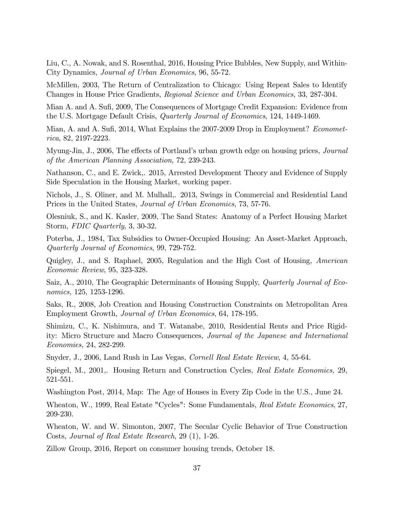Liu, C., A. Nowak, and S. Rosenthal, 2016, Housing Price Bubbles, New Supply, and Within-City Dynamics, Journal of Urban Economics, 96, 55-72.

McMillen, 2003, The Return of Centralization to Chicago: Using Repeat Sales to Identify Changes in House Price Gradients, Regional Science and Urban Economics, 33, 287-304.

Mian A. and A. Sufi, 2009, The Consequences of Mortgage Credit Expansion: Evidence from the U.S. Mortgage Default Crisis, Quarterly Journal of Economics, 124, 1449-1469.

Mian, A. and A. Sufi, 2014, What Explains the 2007-2009 Drop in Employment? Econometrica, 82, 2197-2223.

Myung-Jin, J., 2006, The effects of Portland's urban growth edge on housing prices, *Journal* of the American Planning Association, 72, 239-243.

Nathanson, C., and E. Zwick,. 2015, Arrested Development Theory and Evidence of Supply Side Speculation in the Housing Market, working paper.

Nichols, J., S. Oliner, and M. Mulhall,. 2013, Swings in Commercial and Residential Land Prices in the United States, Journal of Urban Economics, 73, 57-76.

Olesniuk, S., and K. Kasler, 2009, The Sand States: Anatomy of a Perfect Housing Market Storm, FDIC Quarterly, 3, 30-32.

Poterba, J., 1984, Tax Subsidies to Owner-Occupied Housing: An Asset-Market Approach, Quarterly Journal of Economics, 99, 729-752.

Quigley, J., and S. Raphael, 2005, Regulation and the High Cost of Housing, American Economic Review, 95, 323-328.

Saiz, A., 2010, The Geographic Determinants of Housing Supply, *Quarterly Journal of Eco*nomics, 125, 1253-1296.

Saks, R., 2008, Job Creation and Housing Construction Constraints on Metropolitan Area Employment Growth, Journal of Urban Economics, 64, 178-195.

Shimizu, C., K. Nishimura, and T. Watanabe, 2010, Residential Rents and Price Rigidity: Micro Structure and Macro Consequences, Journal of the Japanese and International Economies, 24, 282-299.

Snyder, J., 2006, Land Rush in Las Vegas, Cornell Real Estate Review, 4, 55-64.

Spiegel, M., 2001,. Housing Return and Construction Cycles, Real Estate Economics, 29, 521-551.

Washington Post, 2014, Map: The Age of Houses in Every Zip Code in the U.S., June 24.

Wheaton, W., 1999, Real Estate "Cycles": Some Fundamentals, Real Estate Economics, 27, 209-230.

Wheaton, W. and W. Simonton, 2007, The Secular Cyclic Behavior of True Construction Costs, Journal of Real Estate Research, 29 (1), 1-26.

Zillow Group, 2016, Report on consumer housing trends, October 18.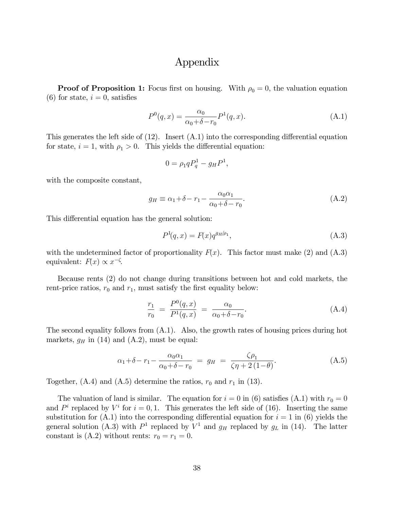# Appendix

**Proof of Proposition 1:** Focus first on housing. With  $\rho_0 = 0$ , the valuation equation  $(6)$  for state,  $i = 0$ , satisfies

$$
P^{0}(q,x) = \frac{\alpha_0}{\alpha_0 + \delta - r_0} P^{1}(q,x).
$$
 (A.1)

This generates the left side of  $(12)$ . Insert  $(A.1)$  into the corresponding differential equation for state,  $i = 1$ , with  $\rho_1 > 0$ . This yields the differential equation:

$$
0 = \rho_1 q P_q^1 - g_H P^1,
$$

with the composite constant,

$$
g_H \equiv \alpha_1 + \delta - r_1 - \frac{\alpha_0 \alpha_1}{\alpha_0 + \delta - r_0}.
$$
\n(A.2)

This differential equation has the general solution:

$$
P^{1}(q,x) = F(x)q^{g_{H}/\rho_{1}}, \qquad (A.3)
$$

with the undetermined factor of proportionality  $F(x)$ . This factor must make (2) and (A.3) equivalent:  $F(x) \propto x^{-\zeta}$ .

Because rents (2) do not change during transitions between hot and cold markets, the rent-price ratios,  $r_0$  and  $r_1$ , must satisfy the first equality below:

$$
\frac{r_1}{r_0} = \frac{P^0(q, x)}{P^1(q, x)} = \frac{\alpha_0}{\alpha_0 + \delta - r_0}.
$$
\n(A.4)

The second equality follows from (A.1). Also, the growth rates of housing prices during hot markets,  $g_H$  in (14) and (A.2), must be equal:

$$
\alpha_1 + \delta - r_1 - \frac{\alpha_0 \alpha_1}{\alpha_0 + \delta - r_0} = g_H = \frac{\zeta \rho_1}{\zeta \eta + 2(1 - \theta)}.
$$
\n(A.5)

Together,  $(A.4)$  and  $(A.5)$  determine the ratios,  $r_0$  and  $r_1$  in (13).

The valuation of land is similar. The equation for  $i = 0$  in (6) satisfies (A.1) with  $r_0 = 0$ and  $P^i$  replaced by  $V^i$  for  $i = 0, 1$ . This generates the left side of (16). Inserting the same substitution for  $(A.1)$  into the corresponding differential equation for  $i = 1$  in (6) yields the general solution (A.3) with  $P^1$  replaced by  $V^1$  and  $g_H$  replaced by  $g_L$  in (14). The latter constant is (A.2) without rents:  $r_0 = r_1 = 0$ .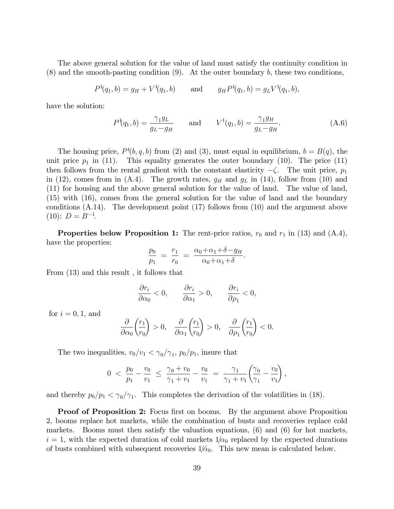The above general solution for the value of land must satisfy the continuity condition in  $(8)$  and the smooth-pasting condition  $(9)$ . At the outer boundary b, these two conditions,

$$
P^1(q_1, b) = g_H + V^1(q_1, b)
$$
 and  $g_H P^1(q_1, b) = g_L V^1(q_1, b)$ ,

have the solution:

$$
P^1(q_1, b) = \frac{\gamma_1 g_L}{g_L - g_H}
$$
 and  $V^1(q_1, b) = \frac{\gamma_1 g_H}{g_L - g_H}$ . (A.6)

.

The housing price,  $P^1(b, q, b)$  from (2) and (3), must equal in equilibrium,  $b = B(q)$ , the unit price  $p_1$  in (11). This equality generates the outer boundary (10). The price (11) then follows from the rental gradient with the constant elasticity  $-\zeta$ . The unit price,  $p_1$ in (12), comes from in (A.4). The growth rates,  $g_H$  and  $g_L$  in (14), follow from (10) and (11) for housing and the above general solution for the value of land. The value of land, (15) with (16), comes from the general solution for the value of land and the boundary conditions (A.14). The development point (17) follows from (10) and the argument above  $(10): D = B^{-1}.$ 

**Properties below Proposition 1:** The rent-price ratios,  $r_0$  and  $r_1$  in (13) and (A.4), have the properties:

$$
\frac{p_0}{p_1} = \frac{r_1}{r_0} = \frac{\alpha_0 + \alpha_1 + \delta - g_H}{\alpha_0 + \alpha_1 + \delta}
$$

From (13) and this result , it follows that

$$
\frac{\partial r_i}{\partial \alpha_0} < 0, \qquad \frac{\partial r_i}{\partial \alpha_1} > 0, \qquad \frac{\partial r_i}{\partial \rho_1} < 0,
$$

for  $i = 0, 1$ , and

$$
\frac{\partial}{\partial \alpha_0} \left( \frac{r_1}{r_0} \right) > 0, \quad \frac{\partial}{\partial \alpha_1} \left( \frac{r_1}{r_0} \right) > 0, \quad \frac{\partial}{\partial \rho_1} \left( \frac{r_1}{r_0} \right) < 0.
$$

The two inequalities,  $v_0/v_1 < \gamma_0/\gamma_1$ ,  $p_0/p_1$ , insure that

$$
0\ <\ \frac{p_0}{p_1}-\frac{v_0}{v_1}\ \le\ \frac{\gamma_0+v_0}{\gamma_1+v_1}-\frac{v_0}{v_1}\ =\ \frac{\gamma_1}{\gamma_1+v_1}\bigg(\!\frac{\gamma_0}{\gamma_1}-\frac{v_0}{v_1}\!\bigg)\,,
$$

and thereby  $p_0/p_1 < \gamma_0/\gamma_1$ . This completes the derivation of the volatilities in (18).

**Proof of Proposition 2:** Focus first on booms. By the argument above Proposition 2, booms replace hot markets, while the combination of busts and recoveries replace cold markets. Booms must then satisfy the valuation equations, (6) and (6) for hot markets,  $i = 1$ , with the expected duration of cold markets  $1/\alpha_0$  replaced by the expected durations of busts combined with subsequent recoveries  $1/\alpha_0$ . This new mean is calculated below.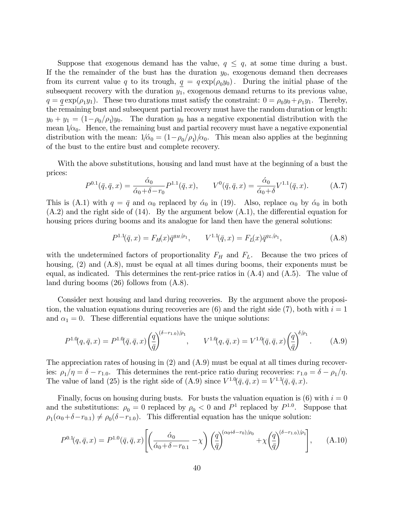Suppose that exogenous demand has the value,  $q \leq q$ , at some time during a bust. If the the remainder of the bust has the duration  $y_0$ , exogenous demand then decreases from its current value q to its trough,  $q = q \exp(\rho_0 y_0)$ . During the initial phase of the subsequent recovery with the duration  $y_1$ , exogenous demand returns to its previous value,  $q = q \exp(\rho_1 y_1)$ . These two durations must satisfy the constraint:  $0 = \rho_0 y_0 + \rho_1 y_1$ . Thereby, the remaining bust and subsequent partial recovery must have the random duration or length:  $y_0 + y_1 = (1 - \rho_0/\rho_1)y_0$ . The duration  $y_0$  has a negative exponential distribution with the mean  $1/\alpha_0$ . Hence, the remaining bust and partial recovery must have a negative exponential distribution with the mean:  $1/\tilde{\alpha}_0 = (1 - \rho_0/\rho_1)/\alpha_0$ . This mean also applies at the beginning of the bust to the entire bust and complete recovery.

With the above substitutions, housing and land must have at the beginning of a bust the prices:

$$
P^{0.1}(\bar{q}, \bar{q}, x) = \frac{\dot{\alpha}_0}{\dot{\alpha}_0 + \delta - r_0} P^{1.1}(\bar{q}, x), \qquad V^0(\bar{q}, \bar{q}, x) = \frac{\dot{\alpha}_0}{\dot{\alpha}_0 + \delta} V^{1.1}(\bar{q}, x). \tag{A.7}
$$

This is (A.1) with  $q = \bar{q}$  and  $\alpha_0$  replaced by  $\dot{\alpha}_0$  in (19). Also, replace  $\alpha_0$  by  $\dot{\alpha}_0$  in both  $(A.2)$  and the right side of (14). By the argument below  $(A.1)$ , the differential equation for housing prices during booms and its analogue for land then have the general solutions:

$$
P^{1.1}(\bar{q},x) = F_H(x)\bar{q}^{g_H/\rho_1}, \qquad V^{1.1}(\bar{q},x) = F_L(x)\bar{q}^{g_L/\rho_1}, \qquad (A.8)
$$

with the undetermined factors of proportionality  $F_H$  and  $F_L$ . Because the two prices of housing, (2) and (A.8), must be equal at all times during booms, their exponents must be equal, as indicated. This determines the rent-price ratios in  $(A.4)$  and  $(A.5)$ . The value of land during booms (26) follows from (A.8).

Consider next housing and land during recoveries. By the argument above the proposition, the valuation equations during recoveries are  $(6)$  and the right side (7), both with  $i = 1$ and  $\alpha_1 = 0$ . These differential equations have the unique solutions:

$$
P^{1.0}(q, \bar{q}, x) = P^{1.0}(\bar{q}, \bar{q}, x) \left(\frac{q}{\bar{q}}\right)^{(\delta - r_{1.0})/\rho_1}, \qquad V^{1.0}(q, \bar{q}, x) = V^{1.0}(\bar{q}, \bar{q}, x) \left(\frac{q}{\bar{q}}\right)^{\delta/\rho_1}.
$$
 (A.9)

The appreciation rates of housing in (2) and (A.9) must be equal at all times during recoveries:  $\rho_1/\eta = \delta - r_{1.0}$ . This determines the rent-price ratio during recoveries:  $r_{1.0} = \delta - \rho_1/\eta$ . The value of land (25) is the right side of (A.9) since  $V^{1.0}(\bar{q}, \bar{q}, x) = V^{1.1}(\bar{q}, \bar{q}, x)$ .

Finally, focus on housing during busts. For busts the valuation equation is  $(6)$  with  $i = 0$ and the substitutions:  $\rho_0 = 0$  replaced by  $\rho_0 < 0$  and  $P^1$  replaced by  $P^{1.0}$ . Suppose that  $\rho_1(\alpha_0+\delta-r_{0.1}) \neq \rho_0(\delta-r_{1.0})$ . This differential equation has the unique solution:

$$
P^{0.1}(q, \bar{q}, x) = P^{1.0}(\bar{q}, \bar{q}, x) \left[ \left( \frac{\dot{\alpha}_0}{\dot{\alpha}_0 + \delta - r_{0.1}} - \chi \right) \left( \frac{q}{\bar{q}} \right)^{(\alpha_0 + \delta - r_0)/\rho_0} + \chi \left( \frac{q}{\bar{q}} \right)^{(\delta - r_{1.0})/\rho_1} \right], \quad (A.10)
$$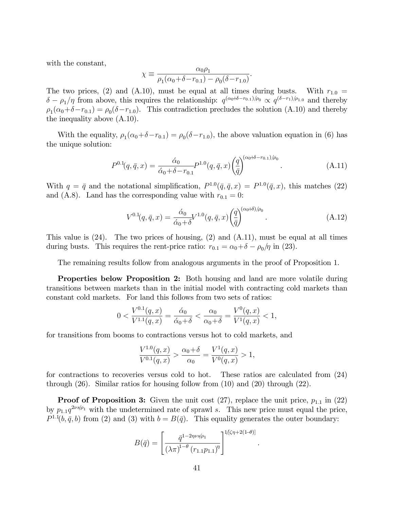with the constant,

$$
\chi \equiv \frac{\alpha_0 \rho_1}{\rho_1 (\alpha_0 + \delta - r_{0.1}) - \rho_0 (\delta - r_{1.0})}.
$$

The two prices, (2) and (A.10), must be equal at all times during busts. With  $r_{1.0}$  =  $\delta - \rho_1/\eta$  from above, this requires the relationship:  $q^{(\alpha_0+\delta-r_{0.1})/\rho_0} \propto q^{(\delta-r_1)/\rho_{1.0}}$  and thereby  $\rho_1(\alpha_0+\delta-r_{0.1}) = \rho_0(\delta-r_{1.0})$ . This contradiction precludes the solution (A.10) and thereby the inequality above (A.10).

With the equality,  $\rho_1(\alpha_0+\delta-r_{0.1}) = \rho_0(\delta-r_{1.0})$ , the above valuation equation in (6) has the unique solution:

$$
P^{0.1}(q, \bar{q}, x) = \frac{\dot{\alpha}_0}{\dot{\alpha}_0 + \delta - r_{0.1}} P^{1.0}(q, \bar{q}, x) \left(\frac{q}{\bar{q}}\right)^{(\alpha_0 + \delta - r_{0.1})/\rho_0}.
$$
 (A.11)

With  $q = \bar{q}$  and the notational simplification,  $P^{1,0}(\bar{q}, \bar{q}, x) = P^{1,0}(\bar{q}, x)$ , this matches (22) and (A.8). Land has the corresponding value with  $r_{0,1} = 0$ :

$$
V^{0.1}(q, \bar{q}, x) = \frac{\dot{\alpha}_0}{\dot{\alpha}_0 + \delta} V^{1.0}(q, \bar{q}, x) \left(\frac{q}{\bar{q}}\right)^{(\alpha_0 + \delta)/\rho_0}.
$$
 (A.12)

This value is  $(24)$ . The two prices of housing,  $(2)$  and  $(A.11)$ , must be equal at all times during busts. This requires the rent-price ratio:  $r_{0.1} = \alpha_0 + \delta - \rho_0/\eta$  in (23).

The remaining results follow from analogous arguments in the proof of Proposition 1.

Properties below Proposition 2: Both housing and land are more volatile during transitions between markets than in the initial model with contracting cold markets than constant cold markets. For land this follows from two sets of ratios:

$$
0 < \frac{V^{0.1}(q, x)}{V^{1.1}(q, x)} = \frac{\dot{\alpha}_0}{\dot{\alpha}_0 + \delta} < \frac{\alpha_0}{\alpha_0 + \delta} = \frac{V^0(q, x)}{V^1(q, x)} < 1,
$$

for transitions from booms to contractions versus hot to cold markets, and

$$
\frac{V^{1,0}(q,x)}{V^{0,1}(q,x)} > \frac{\alpha_0 + \delta}{\alpha_0} = \frac{V^1(q,x)}{V^0(q,x)} > 1,
$$

for contractions to recoveries versus cold to hot. These ratios are calculated from (24) through (26). Similar ratios for housing follow from (10) and (20) through (22).

**Proof of Proposition 3:** Given the unit cost  $(27)$ , replace the unit price,  $p_{1,1}$  in  $(22)$ by  $p_{1,1}q^{2\nu s/\rho_1}$  with the undetermined rate of sprawl s. This new price must equal the price,  $P^{1,1}(b, \bar{q}, b)$  from (2) and (3) with  $b = B(\bar{q})$ . This equality generates the outer boundary:

$$
B(\bar{q}) = \left[ \frac{\bar{q}^{1-2\eta\nu s/\rho_1}}{(\lambda \pi)^{1-\theta} (r_{1.1} p_{1.1})^{\eta}} \right]^{1/[\zeta \eta + 2(1-\theta)]}
$$

.